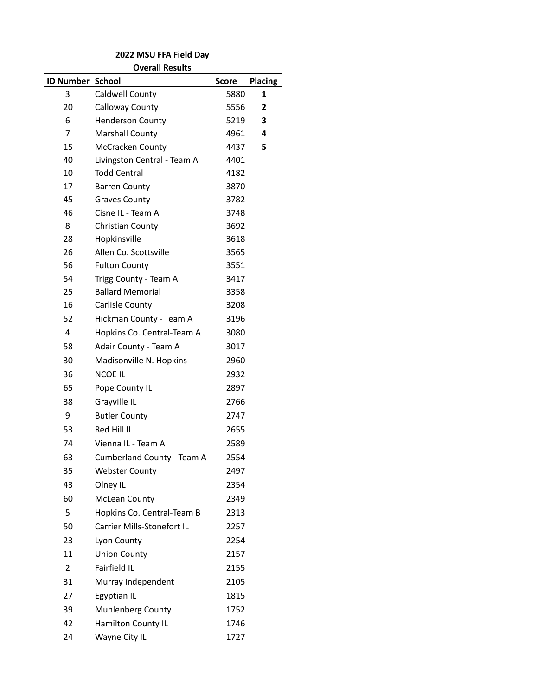**Overall Results**

| <b>ID Number School</b> |                             | <b>Score</b> | Placing |
|-------------------------|-----------------------------|--------------|---------|
| 3                       | Caldwell County             | 5880         | 1       |
| 20                      | Calloway County             | 5556         | 2       |
| 6                       | <b>Henderson County</b>     | 5219         | 3       |
| 7                       | <b>Marshall County</b>      | 4961         | 4       |
| 15                      | McCracken County            | 4437         | 5       |
| 40                      | Livingston Central - Team A | 4401         |         |
| 10                      | <b>Todd Central</b>         | 4182         |         |
| 17                      | <b>Barren County</b>        | 3870         |         |
| 45                      | <b>Graves County</b>        | 3782         |         |
| 46                      | Cisne IL - Team A           | 3748         |         |
| 8                       | Christian County            | 3692         |         |
| 28                      | Hopkinsville                | 3618         |         |
| 26                      | Allen Co. Scottsville       | 3565         |         |
| 56                      | <b>Fulton County</b>        | 3551         |         |
| 54                      | Trigg County - Team A       | 3417         |         |
| 25                      | <b>Ballard Memorial</b>     | 3358         |         |
| 16                      | Carlisle County             | 3208         |         |
| 52                      | Hickman County - Team A     | 3196         |         |
| 4                       | Hopkins Co. Central-Team A  | 3080         |         |
| 58                      | Adair County - Team A       | 3017         |         |
| 30                      | Madisonville N. Hopkins     | 2960         |         |
| 36                      | <b>NCOE IL</b>              | 2932         |         |
| 65                      | Pope County IL              | 2897         |         |
| 38                      | Grayville IL                | 2766         |         |
| 9                       | <b>Butler County</b>        | 2747         |         |
| 53                      | Red Hill IL                 | 2655         |         |
| 74                      | Vienna IL - Team A          | 2589         |         |
| 63                      | Cumberland County - Team A  | 2554         |         |
| 35                      | <b>Webster County</b>       | 2497         |         |
| 43                      | Olney IL                    | 2354         |         |
| 60                      | <b>McLean County</b>        | 2349         |         |
| 5                       | Hopkins Co. Central-Team B  | 2313         |         |
| 50                      | Carrier Mills-Stonefort IL  | 2257         |         |
| 23                      | Lyon County                 | 2254         |         |
| 11                      | <b>Union County</b>         | 2157         |         |
| $\overline{2}$          | Fairfield IL                | 2155         |         |
| 31                      | Murray Independent          | 2105         |         |
| 27                      | Egyptian IL                 | 1815         |         |
| 39                      | <b>Muhlenberg County</b>    | 1752         |         |
| 42                      | Hamilton County IL          | 1746         |         |
| 24                      | Wayne City IL               | 1727         |         |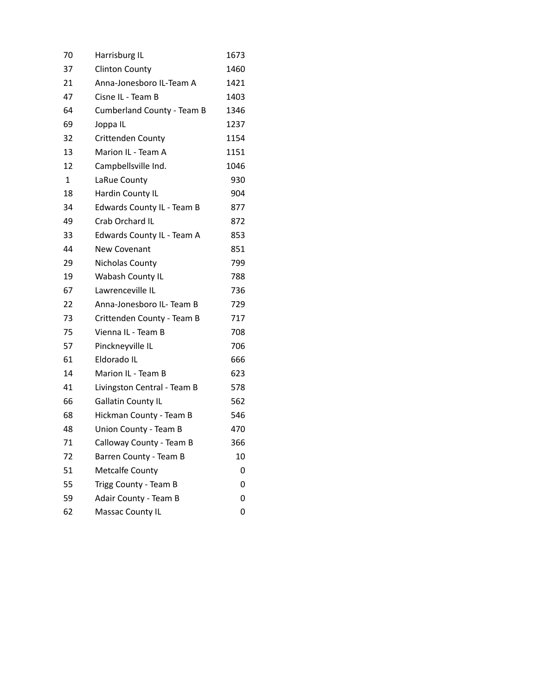| 70           | Harrisburg IL                     | 1673 |
|--------------|-----------------------------------|------|
| 37           | <b>Clinton County</b>             | 1460 |
| 21           | Anna-Jonesboro IL-Team A          | 1421 |
| 47           | Cisne IL - Team B                 | 1403 |
| 64           | <b>Cumberland County - Team B</b> | 1346 |
| 69           | Joppa IL                          | 1237 |
| 32           | Crittenden County                 | 1154 |
| 13           | Marion IL - Team A                | 1151 |
| 12           | Campbellsville Ind.               | 1046 |
| $\mathbf{1}$ | LaRue County                      | 930  |
| 18           | Hardin County IL                  | 904  |
| 34           | Edwards County IL - Team B        | 877  |
| 49           | Crab Orchard IL                   | 872  |
| 33           | Edwards County IL - Team A        | 853  |
| 44           | <b>New Covenant</b>               | 851  |
| 29           | Nicholas County                   | 799  |
| 19           | Wabash County IL                  | 788  |
| 67           | Lawrenceville IL                  | 736  |
| 22           | Anna-Jonesboro IL- Team B         | 729  |
| 73           | Crittenden County - Team B        | 717  |
| 75           | Vienna IL - Team B                | 708  |
| 57           | Pinckneyville IL                  | 706  |
| 61           | Eldorado IL                       | 666  |
| 14           | Marion IL - Team B                | 623  |
| 41           | Livingston Central - Team B       | 578  |
| 66           | <b>Gallatin County IL</b>         | 562  |
| 68           | Hickman County - Team B           | 546  |
| 48           | Union County - Team B             | 470  |
| 71           | Calloway County - Team B          | 366  |
| 72           | Barren County - Team B            | 10   |
| 51           | <b>Metcalfe County</b>            | 0    |
| 55           | Trigg County - Team B             | 0    |
| 59           | Adair County - Team B             | 0    |
| 62           | Massac County IL                  | 0    |
|              |                                   |      |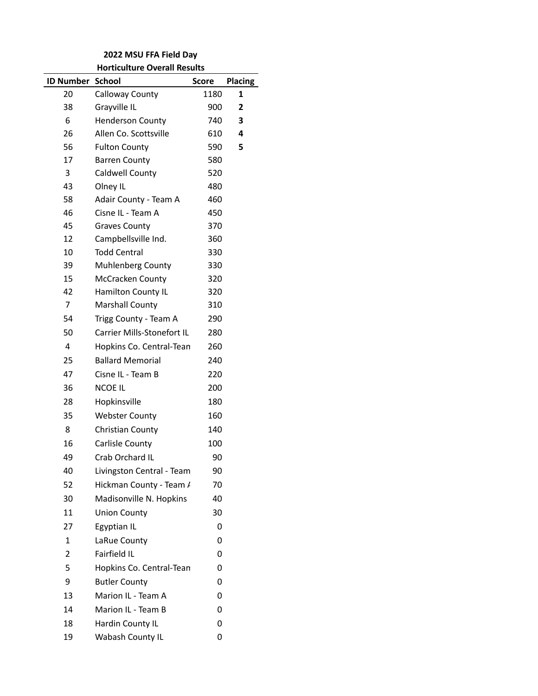## **2022 MSU FFA Field Day Horticulture Overall Results**

| <b>ID Number School</b> |                            | <b>Score</b> | <b>Placing</b> |
|-------------------------|----------------------------|--------------|----------------|
| 20                      | Calloway County            | 1180         | 1              |
| 38                      | Grayville IL               | 900          | $\overline{2}$ |
| 6                       | <b>Henderson County</b>    | 740          | 3              |
| 26                      | Allen Co. Scottsville      | 610          | 4              |
| 56                      | <b>Fulton County</b>       | 590          | 5              |
| 17                      | <b>Barren County</b>       | 580          |                |
| 3                       | Caldwell County            | 520          |                |
| 43                      | Olney IL                   | 480          |                |
| 58                      | Adair County - Team A      | 460          |                |
| 46                      | Cisne IL - Team A          | 450          |                |
| 45                      | <b>Graves County</b>       | 370          |                |
| 12                      | Campbellsville Ind.        | 360          |                |
| 10                      | <b>Todd Central</b>        | 330          |                |
| 39                      | <b>Muhlenberg County</b>   | 330          |                |
| 15                      | McCracken County           | 320          |                |
| 42                      | Hamilton County IL         | 320          |                |
| $\overline{7}$          | Marshall County            | 310          |                |
| 54                      | Trigg County - Team A      | 290          |                |
| 50                      | Carrier Mills-Stonefort IL | 280          |                |
| $\overline{4}$          | Hopkins Co. Central-Tean   | 260          |                |
| 25                      | <b>Ballard Memorial</b>    | 240          |                |
| 47                      | Cisne IL - Team B          | 220          |                |
| 36                      | <b>NCOE IL</b>             | 200          |                |
| 28                      | Hopkinsville               | 180          |                |
| 35                      | <b>Webster County</b>      | 160          |                |
| 8                       | Christian County           | 140          |                |
| 16                      | Carlisle County            | 100          |                |
| 49                      | Crab Orchard IL            | 90           |                |
| 40                      | Livingston Central - Team  | 90           |                |
| 52                      | Hickman County - Team /    | 70           |                |
| 30                      | Madisonville N. Hopkins    | 40           |                |
| 11                      | <b>Union County</b>        | 30           |                |
| 27                      | Egyptian IL                | 0            |                |
| $\mathbf{1}$            | LaRue County               | 0            |                |
| 2                       | Fairfield IL               | 0            |                |
| 5                       | Hopkins Co. Central-Tean   | 0            |                |
| 9                       | <b>Butler County</b>       | 0            |                |
| 13                      | Marion IL - Team A         | 0            |                |
| 14                      | Marion IL - Team B         | 0            |                |
| 18                      | Hardin County IL           | 0            |                |
| 19                      | Wabash County IL           | 0            |                |
|                         |                            |              |                |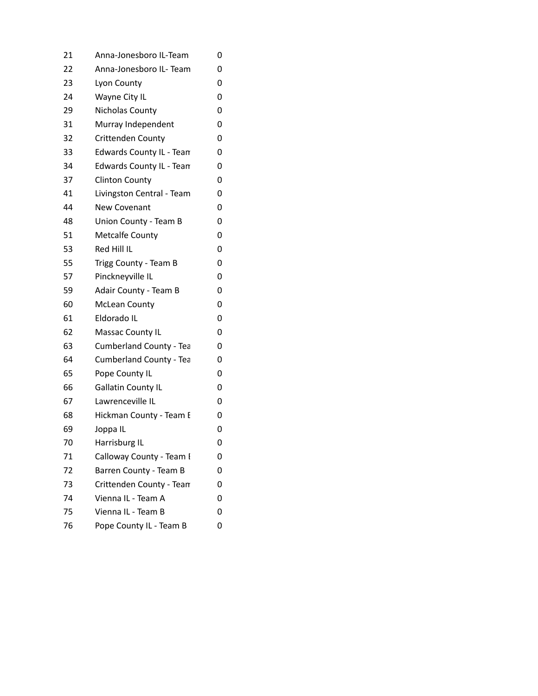| 21 | Anna-Jonesboro IL-Team    | 0 |
|----|---------------------------|---|
| 22 | Anna-Jonesboro IL- Team   | 0 |
| 23 | Lyon County               | 0 |
| 24 | Wayne City IL             | 0 |
| 29 | Nicholas County           | 0 |
| 31 | Murray Independent        | 0 |
| 32 | Crittenden County         | 0 |
| 33 | Edwards County IL - Team  | 0 |
| 34 | Edwards County IL - Team  | 0 |
| 37 | <b>Clinton County</b>     | 0 |
| 41 | Livingston Central - Team | 0 |
| 44 | <b>New Covenant</b>       | 0 |
| 48 | Union County - Team B     | 0 |
| 51 | <b>Metcalfe County</b>    | 0 |
| 53 | Red Hill IL               | 0 |
| 55 | Trigg County - Team B     | 0 |
| 57 | Pinckneyville IL          | 0 |
| 59 | Adair County - Team B     | 0 |
| 60 | <b>McLean County</b>      | 0 |
| 61 | Eldorado IL               | 0 |
| 62 | Massac County IL          | 0 |
| 63 | Cumberland County - Tea   | 0 |
| 64 | Cumberland County - Tea   | 0 |
| 65 | Pope County IL            | 0 |
| 66 | <b>Gallatin County IL</b> | 0 |
| 67 | Lawrenceville IL          | 0 |
| 68 | Hickman County - Team E   | 0 |
| 69 | Joppa IL                  | 0 |
| 70 | Harrisburg IL             | 0 |
| 71 | Calloway County - Team I  | 0 |
| 72 | Barren County - Team B    | 0 |
| 73 | Crittenden County - Tean  | 0 |
| 74 | Vienna IL - Team A        | 0 |
| 75 | Vienna IL - Team B        | 0 |
| 76 | Pope County IL - Team B   | 0 |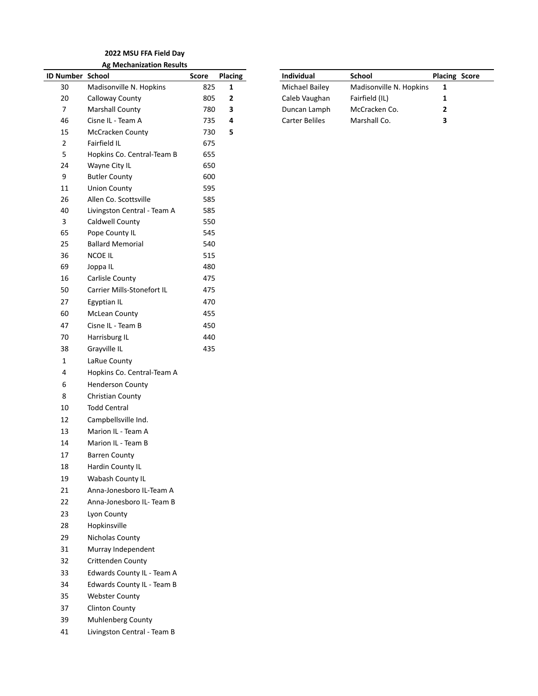#### **2022 MSU FFA Field Day Ag Mechanization Results**

| ID Number School |                             | <b>Score</b> | <b>Placing</b> | Individual            | School                  | Placi |
|------------------|-----------------------------|--------------|----------------|-----------------------|-------------------------|-------|
| 30               | Madisonville N. Hopkins     | 825          | $\mathbf{1}$   | <b>Michael Bailey</b> | Madisonville N. Hopkins | 1     |
| $20\,$           | Calloway County             | 805          | 2              | Caleb Vaughan         | Fairfield (IL)          | 1     |
| $\overline{7}$   | <b>Marshall County</b>      | 780          | 3              | Duncan Lamph          | McCracken Co.           | 2     |
| 46               | Cisne IL - Team A           | 735          | 4              | <b>Carter Beliles</b> | Marshall Co.            | 3     |
| 15               | McCracken County            | 730          | 5              |                       |                         |       |
| $\overline{2}$   | Fairfield IL                | 675          |                |                       |                         |       |
| 5                | Hopkins Co. Central-Team B  | 655          |                |                       |                         |       |
| 24               | Wayne City IL               | 650          |                |                       |                         |       |
| 9                | <b>Butler County</b>        | 600          |                |                       |                         |       |
| $11\,$           | <b>Union County</b>         | 595          |                |                       |                         |       |
| 26               | Allen Co. Scottsville       | 585          |                |                       |                         |       |
| 40               | Livingston Central - Team A | 585          |                |                       |                         |       |
| 3                | Caldwell County             | 550          |                |                       |                         |       |
| 65               | Pope County IL              | 545          |                |                       |                         |       |
| 25               | <b>Ballard Memorial</b>     | 540          |                |                       |                         |       |
| 36               | NCOE IL                     | 515          |                |                       |                         |       |
| 69               | Joppa IL                    | 480          |                |                       |                         |       |
| 16               | Carlisle County             | 475          |                |                       |                         |       |
| 50               | Carrier Mills-Stonefort IL  | 475          |                |                       |                         |       |
| 27               | Egyptian IL                 | 470          |                |                       |                         |       |
| 60               | McLean County               | 455          |                |                       |                         |       |
| 47               | Cisne IL - Team B           | 450          |                |                       |                         |       |
| $70\,$           | Harrisburg IL               | 440          |                |                       |                         |       |
| 38               | Grayville IL                | 435          |                |                       |                         |       |
| $\mathbf{1}$     | LaRue County                |              |                |                       |                         |       |
| 4                | Hopkins Co. Central-Team A  |              |                |                       |                         |       |
| 6                | <b>Henderson County</b>     |              |                |                       |                         |       |
| 8                | Christian County            |              |                |                       |                         |       |
| $10\,$           | <b>Todd Central</b>         |              |                |                       |                         |       |
| 12               | Campbellsville Ind.         |              |                |                       |                         |       |
| 13               | Marion IL - Team A          |              |                |                       |                         |       |
| 14               | Marion IL - Team B          |              |                |                       |                         |       |
| 17               | <b>Barren County</b>        |              |                |                       |                         |       |
| 18               | Hardin County IL            |              |                |                       |                         |       |
| 19               | Wabash County IL            |              |                |                       |                         |       |
| 21               | Anna-Jonesboro IL-Team A    |              |                |                       |                         |       |
| 22               | Anna-Jonesboro IL- Team B   |              |                |                       |                         |       |
| 23               | Lyon County                 |              |                |                       |                         |       |
| 28               | Hopkinsville                |              |                |                       |                         |       |
| 29               | Nicholas County             |              |                |                       |                         |       |
| 31               | Murray Independent          |              |                |                       |                         |       |
| 32               | Crittenden County           |              |                |                       |                         |       |
| 33               | Edwards County IL - Team A  |              |                |                       |                         |       |
| 34               | Edwards County IL - Team B  |              |                |                       |                         |       |
| 35               | <b>Webster County</b>       |              |                |                       |                         |       |
| 37               | <b>Clinton County</b>       |              |                |                       |                         |       |
| 39               | Muhlenberg County           |              |                |                       |                         |       |
| 41               | Livingston Central - Team B |              |                |                       |                         |       |

| <b>ID Number School</b> |                         | Score | <b>Placing</b> | <b>Individual</b> |                | School                  | <b>Placing Score</b> |  |
|-------------------------|-------------------------|-------|----------------|-------------------|----------------|-------------------------|----------------------|--|
| 30                      | Madisonville N. Hopkins | 825   |                |                   | Michael Bailey | Madisonville N. Hopkins |                      |  |
| 20                      | Calloway County         | 805   |                |                   | Caleb Vaughan  | Fairfield (IL)          |                      |  |
|                         | <b>Marshall County</b>  | 780   | 3              |                   | Duncan Lamph   | McCracken Co.           |                      |  |
| 46                      | Cisne IL - Team A       | 735.  |                | Carter Beliles    |                | Marshall Co.            |                      |  |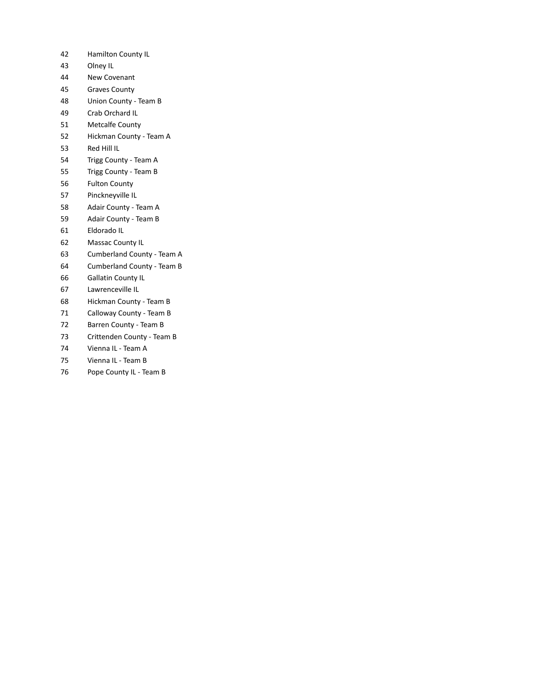- Hamilton County IL
- Olney IL
- New Covenant
- Graves County
- Union County Team B
- Crab Orchard IL
- Metcalfe County
- Hickman County Team A
- Red Hill IL
- Trigg County Team A
- Trigg County Team B
- Fulton County
- Pinckneyville IL
- Adair County Team A
- Adair County Team B
- Eldorado IL
- Massac County IL
- Cumberland County Team A
- Cumberland County Team B
- Gallatin County IL
- Lawrenceville IL
- Hickman County Team B
- Calloway County Team B
- Barren County Team B
- Crittenden County Team B
- Vienna IL Team A
- Vienna IL Team B
- 76 Pope County IL Team B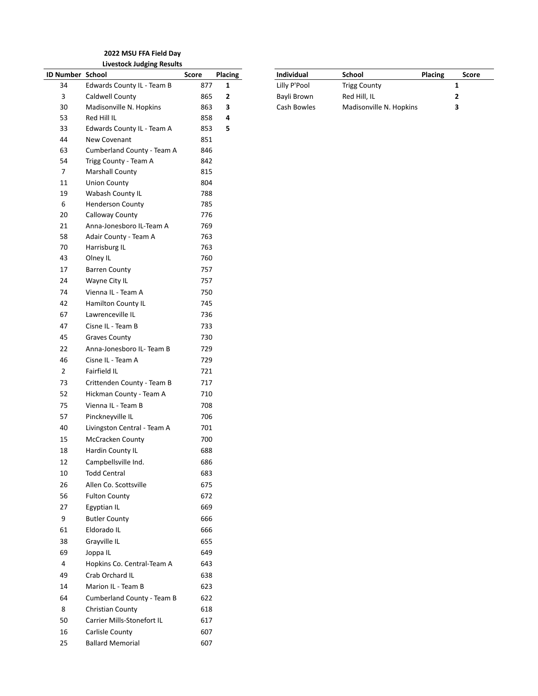#### **2022 MSU FFA Field Day Livestock Judging Results**

| ID Number School |                                   | Score | Placin |
|------------------|-----------------------------------|-------|--------|
| 34               | Edwards County IL - Team B        | 877   | 1      |
| 3                | Caldwell County                   | 865   | 2      |
| 30               | Madisonville N. Hopkins           | 863   | 3      |
| 53               | Red Hill IL                       | 858   | 4      |
| 33               | Edwards County IL - Team A        | 853   | 5      |
| 44               | New Covenant                      | 851   |        |
| 63               | Cumberland County - Team A        | 846   |        |
| 54               | Trigg County - Team A             | 842   |        |
| 7                | <b>Marshall County</b>            | 815   |        |
| 11               | <b>Union County</b>               | 804   |        |
| 19               | Wabash County IL                  | 788   |        |
| 6                | <b>Henderson County</b>           | 785   |        |
| 20               | Calloway County                   | 776   |        |
| 21               | Anna-Jonesboro IL-Team A          | 769   |        |
| 58               | Adair County - Team A             | 763   |        |
| 70               | Harrisburg IL                     | 763   |        |
| 43               | Olney IL                          | 760   |        |
| 17               | <b>Barren County</b>              | 757   |        |
| 24               | Wayne City IL                     | 757   |        |
| 74               | Vienna IL - Team A                | 750   |        |
| 42               | Hamilton County IL                | 745   |        |
| 67               | Lawrenceville IL                  | 736   |        |
| 47               | Cisne IL - Team B                 | 733   |        |
| 45               | <b>Graves County</b>              | 730   |        |
| 22               | Anna-Jonesboro IL- Team B         | 729   |        |
| 46               | Cisne IL - Team A                 | 729   |        |
| 2                | <b>Fairfield IL</b>               | 721   |        |
| 73               | Crittenden County - Team B        | 717   |        |
| 52               | Hickman County - Team A           | 710   |        |
| 75               | Vienna IL - Team B                | 708   |        |
| 57               | Pinckneyville IL                  | 706   |        |
| 40               | Livingston Central - Team A       | 701   |        |
| 15               | McCracken County                  | 700   |        |
| 18               | Hardin County IL                  | 688   |        |
| 12               | Campbellsville Ind.               | 686   |        |
| 10               | <b>Todd Central</b>               | 683   |        |
| 26               | Allen Co. Scottsville             | 675   |        |
| 56               | <b>Fulton County</b>              | 672   |        |
| 27               | Egyptian IL                       | 669   |        |
| 9                | <b>Butler County</b>              | 666   |        |
| 61               | Eldorado IL                       | 666   |        |
| 38               | Grayville IL                      | 655   |        |
| 69               | Joppa IL                          | 649   |        |
| 4                | Hopkins Co. Central-Team A        | 643   |        |
| 49               | Crab Orchard IL                   | 638   |        |
| 14               | Marion IL - Team B                | 623   |        |
| 64               | <b>Cumberland County - Team B</b> | 622   |        |
| 8                | Christian County                  | 618   |        |
|                  |                                   |       |        |
| 50               | Carrier Mills-Stonefort IL        | 617   |        |
| 16               | Carlisle County                   | 607   |        |
| 25               | <b>Ballard Memorial</b>           | 607   |        |

|                  | -----                      |       |                |                   |                         |                |       |
|------------------|----------------------------|-------|----------------|-------------------|-------------------------|----------------|-------|
| ID Number School |                            | Score | <b>Placing</b> | <b>Individual</b> | School                  | <b>Placing</b> | Score |
| 34               | Edwards County IL - Team B | 877   |                | Lilly P'Pool      | <b>Trigg County</b>     |                |       |
|                  | Caldwell County            | 865   |                | Bayli Brown       | Red Hill, IL            |                |       |
| 30               | Madisonville N. Hopkins    | 863   |                | Cash Bowles       | Madisonville N. Hopkins |                |       |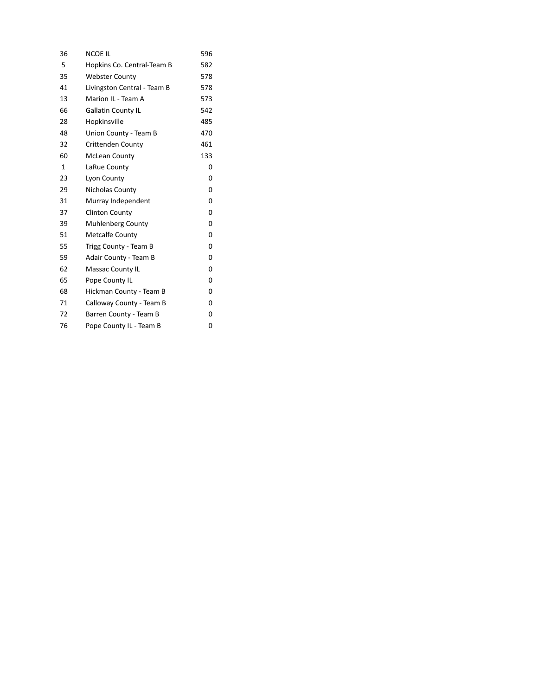| 36           | NCOE IL                     | 596 |
|--------------|-----------------------------|-----|
| 5            | Hopkins Co. Central-Team B  | 582 |
| 35           | <b>Webster County</b>       | 578 |
| 41           | Livingston Central - Team B | 578 |
| 13           | Marion IL - Team A          | 573 |
| 66           | Gallatin County IL          | 542 |
| 28           | Hopkinsville                | 485 |
| 48           | Union County - Team B       | 470 |
| 32           | <b>Crittenden County</b>    | 461 |
| 60           | <b>McLean County</b>        | 133 |
| $\mathbf{1}$ | LaRue County                | 0   |
| 23           | Lyon County                 | 0   |
| 29           | Nicholas County             | 0   |
| 31           | Murray Independent          | 0   |
| 37           | <b>Clinton County</b>       | 0   |
| 39           | <b>Muhlenberg County</b>    | 0   |
| 51           | <b>Metcalfe County</b>      | 0   |
| 55           | Trigg County - Team B       | 0   |
| 59           | Adair County - Team B       | 0   |
| 62           | Massac County IL            | 0   |
| 65           | Pope County IL              | 0   |
| 68           | Hickman County - Team B     | 0   |
| 71           | Calloway County - Team B    | 0   |
| 72           | Barren County - Team B      | 0   |
| 76           | Pope County IL - Team B     | 0   |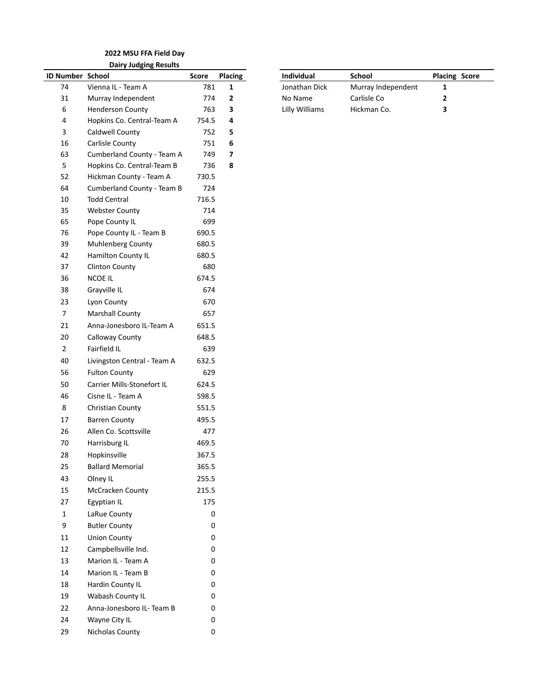#### **2022 MSU FFA Field Day Dairy Judging Results**

| 74<br>Vienna IL - Team A<br>Jonathan Dick<br>Murray Independent<br>781<br>1<br>1<br>31<br>Murray Independent<br>$\mathbf{2}$<br>Carlisle Co<br>774<br>No Name<br>2<br>6<br><b>Henderson County</b><br>763<br>Lilly Williams<br>Hickman Co.<br>3<br>3<br>Hopkins Co. Central-Team A<br>4<br>754.5<br>4<br>3<br>Caldwell County<br>752<br>5<br>16<br>Carlisle County<br>751<br>6<br>63<br>Cumberland County - Team A<br>749<br>7<br>5<br>Hopkins Co. Central-Team B<br>736<br>8<br>52<br>Hickman County - Team A<br>730.5<br>724<br>64<br>Cumberland County - Team B<br><b>Todd Central</b><br>$10\,$<br>716.5<br>35<br><b>Webster County</b><br>714<br>65<br>Pope County IL<br>699<br>76<br>Pope County IL - Team B<br>690.5<br>39<br>Muhlenberg County<br>680.5<br>42<br>Hamilton County IL<br>680.5<br>37<br>Clinton County<br>680<br>36<br>NCOE IL<br>674.5<br>674<br>38<br>Grayville IL<br>23<br>Lyon County<br>670<br>$\boldsymbol{7}$<br><b>Marshall County</b><br>657<br>21<br>Anna-Jonesboro IL-Team A<br>651.5<br>$20\,$<br>Calloway County<br>648.5<br>Fairfield IL<br>$\overline{2}$<br>639<br>40<br>Livingston Central - Team A<br>632.5<br>629<br>56<br><b>Fulton County</b><br>$50\,$<br>Carrier Mills-Stonefort IL<br>624.5<br>46<br>Cisne IL - Team A<br>598.5<br>8<br>Christian County<br>551.5<br>17<br><b>Barren County</b><br>495.5<br>26<br>Allen Co. Scottsville<br>477<br>70<br>Harrisburg IL<br>469.5<br>28<br>Hopkinsville<br>367.5<br>25<br><b>Ballard Memorial</b><br>365.5<br>43<br>Olney IL<br>255.5<br>McCracken County<br>215.5<br>15<br>175<br>27<br>Egyptian IL<br>LaRue County<br>$\mathbf 1$<br>0<br>9<br><b>Butler County</b><br>0<br><b>Union County</b><br>11<br>0<br>12<br>Campbellsville Ind.<br>0<br>13<br>Marion IL - Team A<br>0<br>Marion IL - Team B<br>14<br>0<br>Hardin County IL<br>18<br>0<br>Wabash County IL<br>19<br>0<br>Anna-Jonesboro IL- Team B<br>22<br>0<br>24<br>Wayne City IL<br>0<br>Nicholas County<br>29<br>0 | ID Number School | Score | Placing | Individual | <b>School</b> | Placi |
|-----------------------------------------------------------------------------------------------------------------------------------------------------------------------------------------------------------------------------------------------------------------------------------------------------------------------------------------------------------------------------------------------------------------------------------------------------------------------------------------------------------------------------------------------------------------------------------------------------------------------------------------------------------------------------------------------------------------------------------------------------------------------------------------------------------------------------------------------------------------------------------------------------------------------------------------------------------------------------------------------------------------------------------------------------------------------------------------------------------------------------------------------------------------------------------------------------------------------------------------------------------------------------------------------------------------------------------------------------------------------------------------------------------------------------------------------------------------------------------------------------------------------------------------------------------------------------------------------------------------------------------------------------------------------------------------------------------------------------------------------------------------------------------------------------------------------------------------------------------------------------------------------------------------------------------------------------------------------------|------------------|-------|---------|------------|---------------|-------|
|                                                                                                                                                                                                                                                                                                                                                                                                                                                                                                                                                                                                                                                                                                                                                                                                                                                                                                                                                                                                                                                                                                                                                                                                                                                                                                                                                                                                                                                                                                                                                                                                                                                                                                                                                                                                                                                                                                                                                                             |                  |       |         |            |               |       |
|                                                                                                                                                                                                                                                                                                                                                                                                                                                                                                                                                                                                                                                                                                                                                                                                                                                                                                                                                                                                                                                                                                                                                                                                                                                                                                                                                                                                                                                                                                                                                                                                                                                                                                                                                                                                                                                                                                                                                                             |                  |       |         |            |               |       |
|                                                                                                                                                                                                                                                                                                                                                                                                                                                                                                                                                                                                                                                                                                                                                                                                                                                                                                                                                                                                                                                                                                                                                                                                                                                                                                                                                                                                                                                                                                                                                                                                                                                                                                                                                                                                                                                                                                                                                                             |                  |       |         |            |               |       |
|                                                                                                                                                                                                                                                                                                                                                                                                                                                                                                                                                                                                                                                                                                                                                                                                                                                                                                                                                                                                                                                                                                                                                                                                                                                                                                                                                                                                                                                                                                                                                                                                                                                                                                                                                                                                                                                                                                                                                                             |                  |       |         |            |               |       |
|                                                                                                                                                                                                                                                                                                                                                                                                                                                                                                                                                                                                                                                                                                                                                                                                                                                                                                                                                                                                                                                                                                                                                                                                                                                                                                                                                                                                                                                                                                                                                                                                                                                                                                                                                                                                                                                                                                                                                                             |                  |       |         |            |               |       |
|                                                                                                                                                                                                                                                                                                                                                                                                                                                                                                                                                                                                                                                                                                                                                                                                                                                                                                                                                                                                                                                                                                                                                                                                                                                                                                                                                                                                                                                                                                                                                                                                                                                                                                                                                                                                                                                                                                                                                                             |                  |       |         |            |               |       |
|                                                                                                                                                                                                                                                                                                                                                                                                                                                                                                                                                                                                                                                                                                                                                                                                                                                                                                                                                                                                                                                                                                                                                                                                                                                                                                                                                                                                                                                                                                                                                                                                                                                                                                                                                                                                                                                                                                                                                                             |                  |       |         |            |               |       |
|                                                                                                                                                                                                                                                                                                                                                                                                                                                                                                                                                                                                                                                                                                                                                                                                                                                                                                                                                                                                                                                                                                                                                                                                                                                                                                                                                                                                                                                                                                                                                                                                                                                                                                                                                                                                                                                                                                                                                                             |                  |       |         |            |               |       |
|                                                                                                                                                                                                                                                                                                                                                                                                                                                                                                                                                                                                                                                                                                                                                                                                                                                                                                                                                                                                                                                                                                                                                                                                                                                                                                                                                                                                                                                                                                                                                                                                                                                                                                                                                                                                                                                                                                                                                                             |                  |       |         |            |               |       |
|                                                                                                                                                                                                                                                                                                                                                                                                                                                                                                                                                                                                                                                                                                                                                                                                                                                                                                                                                                                                                                                                                                                                                                                                                                                                                                                                                                                                                                                                                                                                                                                                                                                                                                                                                                                                                                                                                                                                                                             |                  |       |         |            |               |       |
|                                                                                                                                                                                                                                                                                                                                                                                                                                                                                                                                                                                                                                                                                                                                                                                                                                                                                                                                                                                                                                                                                                                                                                                                                                                                                                                                                                                                                                                                                                                                                                                                                                                                                                                                                                                                                                                                                                                                                                             |                  |       |         |            |               |       |
|                                                                                                                                                                                                                                                                                                                                                                                                                                                                                                                                                                                                                                                                                                                                                                                                                                                                                                                                                                                                                                                                                                                                                                                                                                                                                                                                                                                                                                                                                                                                                                                                                                                                                                                                                                                                                                                                                                                                                                             |                  |       |         |            |               |       |
|                                                                                                                                                                                                                                                                                                                                                                                                                                                                                                                                                                                                                                                                                                                                                                                                                                                                                                                                                                                                                                                                                                                                                                                                                                                                                                                                                                                                                                                                                                                                                                                                                                                                                                                                                                                                                                                                                                                                                                             |                  |       |         |            |               |       |
|                                                                                                                                                                                                                                                                                                                                                                                                                                                                                                                                                                                                                                                                                                                                                                                                                                                                                                                                                                                                                                                                                                                                                                                                                                                                                                                                                                                                                                                                                                                                                                                                                                                                                                                                                                                                                                                                                                                                                                             |                  |       |         |            |               |       |
|                                                                                                                                                                                                                                                                                                                                                                                                                                                                                                                                                                                                                                                                                                                                                                                                                                                                                                                                                                                                                                                                                                                                                                                                                                                                                                                                                                                                                                                                                                                                                                                                                                                                                                                                                                                                                                                                                                                                                                             |                  |       |         |            |               |       |
|                                                                                                                                                                                                                                                                                                                                                                                                                                                                                                                                                                                                                                                                                                                                                                                                                                                                                                                                                                                                                                                                                                                                                                                                                                                                                                                                                                                                                                                                                                                                                                                                                                                                                                                                                                                                                                                                                                                                                                             |                  |       |         |            |               |       |
|                                                                                                                                                                                                                                                                                                                                                                                                                                                                                                                                                                                                                                                                                                                                                                                                                                                                                                                                                                                                                                                                                                                                                                                                                                                                                                                                                                                                                                                                                                                                                                                                                                                                                                                                                                                                                                                                                                                                                                             |                  |       |         |            |               |       |
|                                                                                                                                                                                                                                                                                                                                                                                                                                                                                                                                                                                                                                                                                                                                                                                                                                                                                                                                                                                                                                                                                                                                                                                                                                                                                                                                                                                                                                                                                                                                                                                                                                                                                                                                                                                                                                                                                                                                                                             |                  |       |         |            |               |       |
|                                                                                                                                                                                                                                                                                                                                                                                                                                                                                                                                                                                                                                                                                                                                                                                                                                                                                                                                                                                                                                                                                                                                                                                                                                                                                                                                                                                                                                                                                                                                                                                                                                                                                                                                                                                                                                                                                                                                                                             |                  |       |         |            |               |       |
|                                                                                                                                                                                                                                                                                                                                                                                                                                                                                                                                                                                                                                                                                                                                                                                                                                                                                                                                                                                                                                                                                                                                                                                                                                                                                                                                                                                                                                                                                                                                                                                                                                                                                                                                                                                                                                                                                                                                                                             |                  |       |         |            |               |       |
|                                                                                                                                                                                                                                                                                                                                                                                                                                                                                                                                                                                                                                                                                                                                                                                                                                                                                                                                                                                                                                                                                                                                                                                                                                                                                                                                                                                                                                                                                                                                                                                                                                                                                                                                                                                                                                                                                                                                                                             |                  |       |         |            |               |       |
|                                                                                                                                                                                                                                                                                                                                                                                                                                                                                                                                                                                                                                                                                                                                                                                                                                                                                                                                                                                                                                                                                                                                                                                                                                                                                                                                                                                                                                                                                                                                                                                                                                                                                                                                                                                                                                                                                                                                                                             |                  |       |         |            |               |       |
|                                                                                                                                                                                                                                                                                                                                                                                                                                                                                                                                                                                                                                                                                                                                                                                                                                                                                                                                                                                                                                                                                                                                                                                                                                                                                                                                                                                                                                                                                                                                                                                                                                                                                                                                                                                                                                                                                                                                                                             |                  |       |         |            |               |       |
|                                                                                                                                                                                                                                                                                                                                                                                                                                                                                                                                                                                                                                                                                                                                                                                                                                                                                                                                                                                                                                                                                                                                                                                                                                                                                                                                                                                                                                                                                                                                                                                                                                                                                                                                                                                                                                                                                                                                                                             |                  |       |         |            |               |       |
|                                                                                                                                                                                                                                                                                                                                                                                                                                                                                                                                                                                                                                                                                                                                                                                                                                                                                                                                                                                                                                                                                                                                                                                                                                                                                                                                                                                                                                                                                                                                                                                                                                                                                                                                                                                                                                                                                                                                                                             |                  |       |         |            |               |       |
|                                                                                                                                                                                                                                                                                                                                                                                                                                                                                                                                                                                                                                                                                                                                                                                                                                                                                                                                                                                                                                                                                                                                                                                                                                                                                                                                                                                                                                                                                                                                                                                                                                                                                                                                                                                                                                                                                                                                                                             |                  |       |         |            |               |       |
|                                                                                                                                                                                                                                                                                                                                                                                                                                                                                                                                                                                                                                                                                                                                                                                                                                                                                                                                                                                                                                                                                                                                                                                                                                                                                                                                                                                                                                                                                                                                                                                                                                                                                                                                                                                                                                                                                                                                                                             |                  |       |         |            |               |       |
|                                                                                                                                                                                                                                                                                                                                                                                                                                                                                                                                                                                                                                                                                                                                                                                                                                                                                                                                                                                                                                                                                                                                                                                                                                                                                                                                                                                                                                                                                                                                                                                                                                                                                                                                                                                                                                                                                                                                                                             |                  |       |         |            |               |       |
|                                                                                                                                                                                                                                                                                                                                                                                                                                                                                                                                                                                                                                                                                                                                                                                                                                                                                                                                                                                                                                                                                                                                                                                                                                                                                                                                                                                                                                                                                                                                                                                                                                                                                                                                                                                                                                                                                                                                                                             |                  |       |         |            |               |       |
|                                                                                                                                                                                                                                                                                                                                                                                                                                                                                                                                                                                                                                                                                                                                                                                                                                                                                                                                                                                                                                                                                                                                                                                                                                                                                                                                                                                                                                                                                                                                                                                                                                                                                                                                                                                                                                                                                                                                                                             |                  |       |         |            |               |       |
|                                                                                                                                                                                                                                                                                                                                                                                                                                                                                                                                                                                                                                                                                                                                                                                                                                                                                                                                                                                                                                                                                                                                                                                                                                                                                                                                                                                                                                                                                                                                                                                                                                                                                                                                                                                                                                                                                                                                                                             |                  |       |         |            |               |       |
|                                                                                                                                                                                                                                                                                                                                                                                                                                                                                                                                                                                                                                                                                                                                                                                                                                                                                                                                                                                                                                                                                                                                                                                                                                                                                                                                                                                                                                                                                                                                                                                                                                                                                                                                                                                                                                                                                                                                                                             |                  |       |         |            |               |       |
|                                                                                                                                                                                                                                                                                                                                                                                                                                                                                                                                                                                                                                                                                                                                                                                                                                                                                                                                                                                                                                                                                                                                                                                                                                                                                                                                                                                                                                                                                                                                                                                                                                                                                                                                                                                                                                                                                                                                                                             |                  |       |         |            |               |       |
|                                                                                                                                                                                                                                                                                                                                                                                                                                                                                                                                                                                                                                                                                                                                                                                                                                                                                                                                                                                                                                                                                                                                                                                                                                                                                                                                                                                                                                                                                                                                                                                                                                                                                                                                                                                                                                                                                                                                                                             |                  |       |         |            |               |       |
|                                                                                                                                                                                                                                                                                                                                                                                                                                                                                                                                                                                                                                                                                                                                                                                                                                                                                                                                                                                                                                                                                                                                                                                                                                                                                                                                                                                                                                                                                                                                                                                                                                                                                                                                                                                                                                                                                                                                                                             |                  |       |         |            |               |       |
|                                                                                                                                                                                                                                                                                                                                                                                                                                                                                                                                                                                                                                                                                                                                                                                                                                                                                                                                                                                                                                                                                                                                                                                                                                                                                                                                                                                                                                                                                                                                                                                                                                                                                                                                                                                                                                                                                                                                                                             |                  |       |         |            |               |       |
|                                                                                                                                                                                                                                                                                                                                                                                                                                                                                                                                                                                                                                                                                                                                                                                                                                                                                                                                                                                                                                                                                                                                                                                                                                                                                                                                                                                                                                                                                                                                                                                                                                                                                                                                                                                                                                                                                                                                                                             |                  |       |         |            |               |       |
|                                                                                                                                                                                                                                                                                                                                                                                                                                                                                                                                                                                                                                                                                                                                                                                                                                                                                                                                                                                                                                                                                                                                                                                                                                                                                                                                                                                                                                                                                                                                                                                                                                                                                                                                                                                                                                                                                                                                                                             |                  |       |         |            |               |       |
|                                                                                                                                                                                                                                                                                                                                                                                                                                                                                                                                                                                                                                                                                                                                                                                                                                                                                                                                                                                                                                                                                                                                                                                                                                                                                                                                                                                                                                                                                                                                                                                                                                                                                                                                                                                                                                                                                                                                                                             |                  |       |         |            |               |       |
|                                                                                                                                                                                                                                                                                                                                                                                                                                                                                                                                                                                                                                                                                                                                                                                                                                                                                                                                                                                                                                                                                                                                                                                                                                                                                                                                                                                                                                                                                                                                                                                                                                                                                                                                                                                                                                                                                                                                                                             |                  |       |         |            |               |       |
|                                                                                                                                                                                                                                                                                                                                                                                                                                                                                                                                                                                                                                                                                                                                                                                                                                                                                                                                                                                                                                                                                                                                                                                                                                                                                                                                                                                                                                                                                                                                                                                                                                                                                                                                                                                                                                                                                                                                                                             |                  |       |         |            |               |       |
|                                                                                                                                                                                                                                                                                                                                                                                                                                                                                                                                                                                                                                                                                                                                                                                                                                                                                                                                                                                                                                                                                                                                                                                                                                                                                                                                                                                                                                                                                                                                                                                                                                                                                                                                                                                                                                                                                                                                                                             |                  |       |         |            |               |       |
|                                                                                                                                                                                                                                                                                                                                                                                                                                                                                                                                                                                                                                                                                                                                                                                                                                                                                                                                                                                                                                                                                                                                                                                                                                                                                                                                                                                                                                                                                                                                                                                                                                                                                                                                                                                                                                                                                                                                                                             |                  |       |         |            |               |       |
|                                                                                                                                                                                                                                                                                                                                                                                                                                                                                                                                                                                                                                                                                                                                                                                                                                                                                                                                                                                                                                                                                                                                                                                                                                                                                                                                                                                                                                                                                                                                                                                                                                                                                                                                                                                                                                                                                                                                                                             |                  |       |         |            |               |       |
|                                                                                                                                                                                                                                                                                                                                                                                                                                                                                                                                                                                                                                                                                                                                                                                                                                                                                                                                                                                                                                                                                                                                                                                                                                                                                                                                                                                                                                                                                                                                                                                                                                                                                                                                                                                                                                                                                                                                                                             |                  |       |         |            |               |       |
|                                                                                                                                                                                                                                                                                                                                                                                                                                                                                                                                                                                                                                                                                                                                                                                                                                                                                                                                                                                                                                                                                                                                                                                                                                                                                                                                                                                                                                                                                                                                                                                                                                                                                                                                                                                                                                                                                                                                                                             |                  |       |         |            |               |       |
|                                                                                                                                                                                                                                                                                                                                                                                                                                                                                                                                                                                                                                                                                                                                                                                                                                                                                                                                                                                                                                                                                                                                                                                                                                                                                                                                                                                                                                                                                                                                                                                                                                                                                                                                                                                                                                                                                                                                                                             |                  |       |         |            |               |       |
|                                                                                                                                                                                                                                                                                                                                                                                                                                                                                                                                                                                                                                                                                                                                                                                                                                                                                                                                                                                                                                                                                                                                                                                                                                                                                                                                                                                                                                                                                                                                                                                                                                                                                                                                                                                                                                                                                                                                                                             |                  |       |         |            |               |       |

|                  | ິ                       |       |                |                   |                    |                      |
|------------------|-------------------------|-------|----------------|-------------------|--------------------|----------------------|
| ID Number School |                         | Score | <b>Placing</b> | <b>Individual</b> | <b>School</b>      | <b>Placing Score</b> |
| 74               | Vienna IL - Team A      | 781   |                | Jonathan Dick     | Murray Independent |                      |
| 31               | Murray Independent      | 774   |                | No Name           | Carlisle Co        |                      |
|                  | <b>Henderson County</b> | 763   |                | Lilly Williams    | Hickman Co.        |                      |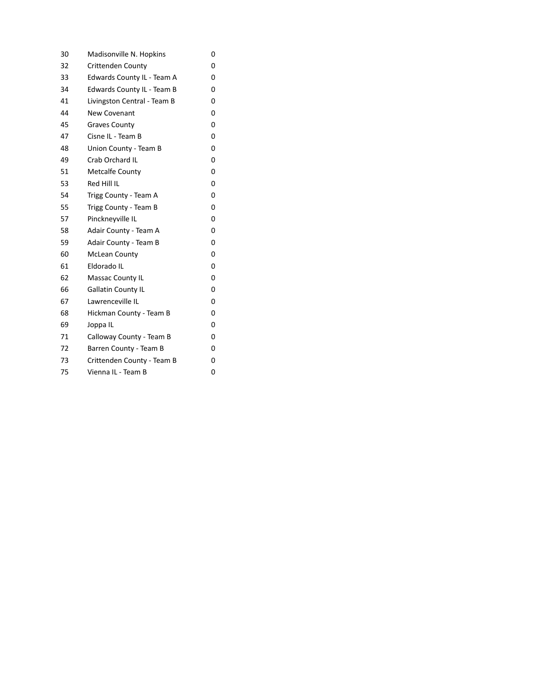| 30 | Madisonville N. Hopkins     | 0 |
|----|-----------------------------|---|
| 32 | <b>Crittenden County</b>    | 0 |
| 33 | Edwards County IL - Team A  | 0 |
| 34 | Edwards County IL - Team B  | 0 |
| 41 | Livingston Central - Team B | 0 |
| 44 | New Covenant                | 0 |
| 45 | <b>Graves County</b>        | 0 |
| 47 | Cisne IL - Team B           | 0 |
| 48 | Union County - Team B       | 0 |
| 49 | Crab Orchard IL             | 0 |
| 51 | <b>Metcalfe County</b>      | 0 |
| 53 | Red Hill IL                 | 0 |
| 54 | Trigg County - Team A       | 0 |
| 55 | Trigg County - Team B       | 0 |
| 57 | Pinckneyville IL            | 0 |
| 58 | Adair County - Team A       | 0 |
| 59 | Adair County - Team B       | 0 |
| 60 | <b>McLean County</b>        | 0 |
| 61 | Eldorado IL                 | 0 |
| 62 | Massac County IL            | 0 |
| 66 | Gallatin County IL          | 0 |
| 67 | Lawrenceville IL            | 0 |
| 68 | Hickman County - Team B     | 0 |
| 69 | Joppa IL                    | 0 |
| 71 | Calloway County - Team B    | 0 |
| 72 | Barren County - Team B      | 0 |
| 73 | Crittenden County - Team B  | 0 |
| 75 | Vienna IL - Team B          | 0 |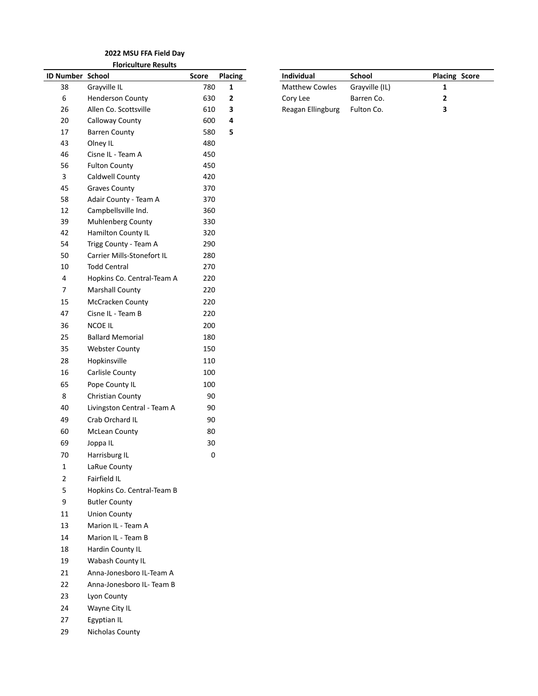#### **2022 MSU FFA Field Day Floriculture Results**

| ID Number School |                             | Score            | Placing      | Individual            | School         | Placi        |
|------------------|-----------------------------|------------------|--------------|-----------------------|----------------|--------------|
| 38               | Grayville IL                | 780              | $\mathbf{1}$ | <b>Matthew Cowles</b> | Grayville (IL) | 1            |
| $\boldsymbol{6}$ | <b>Henderson County</b>     | 630              | $\mathbf{2}$ | Cory Lee              | Barren Co.     | $\mathbf{2}$ |
| 26               | Allen Co. Scottsville       | 610              | 3            | Reagan Ellingburg     | Fulton Co.     | 3            |
| $20\,$           | Calloway County             | 600              | 4            |                       |                |              |
| 17               | <b>Barren County</b>        | 580              | 5            |                       |                |              |
| 43               | Olney IL                    | 480              |              |                       |                |              |
| 46               | Cisne IL - Team A           | 450              |              |                       |                |              |
| 56               | <b>Fulton County</b>        | 450              |              |                       |                |              |
| 3                | Caldwell County             | 420              |              |                       |                |              |
| 45               | <b>Graves County</b>        | 370              |              |                       |                |              |
| 58               | Adair County - Team A       | 370              |              |                       |                |              |
| 12               | Campbellsville Ind.         | 360              |              |                       |                |              |
| 39               | Muhlenberg County           | 330              |              |                       |                |              |
| 42               | Hamilton County IL          | 320              |              |                       |                |              |
| 54               | Trigg County - Team A       | 290              |              |                       |                |              |
| 50               | Carrier Mills-Stonefort IL  | 280              |              |                       |                |              |
| $10\,$           | <b>Todd Central</b>         | 270              |              |                       |                |              |
| $\pmb{4}$        | Hopkins Co. Central-Team A  | 220              |              |                       |                |              |
| $\overline{7}$   | <b>Marshall County</b>      | 220              |              |                       |                |              |
| 15               | McCracken County            | 220              |              |                       |                |              |
| 47               | Cisne IL - Team B           | 220              |              |                       |                |              |
| 36               | NCOE IL                     | 200              |              |                       |                |              |
| 25               | <b>Ballard Memorial</b>     | 180              |              |                       |                |              |
| 35               | <b>Webster County</b>       | 150              |              |                       |                |              |
| 28               | Hopkinsville                | 110              |              |                       |                |              |
| 16               | Carlisle County             | 100              |              |                       |                |              |
| 65               | Pope County IL              | 100              |              |                       |                |              |
| 8                | Christian County            | 90               |              |                       |                |              |
| 40               | Livingston Central - Team A | 90               |              |                       |                |              |
| 49               | Crab Orchard IL             | 90               |              |                       |                |              |
| 60               | <b>McLean County</b>        | 80               |              |                       |                |              |
| 69               | Joppa IL                    | 30               |              |                       |                |              |
| 70               | Harrisburg IL               | $\boldsymbol{0}$ |              |                       |                |              |
| $\mathbf 1$      | LaRue County                |                  |              |                       |                |              |
| $\mathbf 2$      | Fairfield IL                |                  |              |                       |                |              |
| 5                | Hopkins Co. Central-Team B  |                  |              |                       |                |              |
| $\boldsymbol{9}$ | <b>Butler County</b>        |                  |              |                       |                |              |
| 11               | <b>Union County</b>         |                  |              |                       |                |              |
| 13               | Marion IL - Team A          |                  |              |                       |                |              |
| 14               | Marion IL - Team B          |                  |              |                       |                |              |
| 18               | Hardin County IL            |                  |              |                       |                |              |
| 19               | Wabash County IL            |                  |              |                       |                |              |
| 21               | Anna-Jonesboro IL-Team A    |                  |              |                       |                |              |
| 22               | Anna-Jonesboro IL- Team B   |                  |              |                       |                |              |
| 23               | Lyon County                 |                  |              |                       |                |              |
| 24               | Wayne City IL               |                  |              |                       |                |              |
| 27               | Egyptian IL                 |                  |              |                       |                |              |
| 29               | Nicholas County             |                  |              |                       |                |              |

| 1 <u>g</u> | <b>Individual</b>     | <b>School</b>  | <b>Placing Score</b> |
|------------|-----------------------|----------------|----------------------|
|            | <b>Matthew Cowles</b> | Grayville (IL) |                      |
|            | Cory Lee              | Barren Co.     |                      |
|            | Reagan Ellingburg     | Fulton Co.     |                      |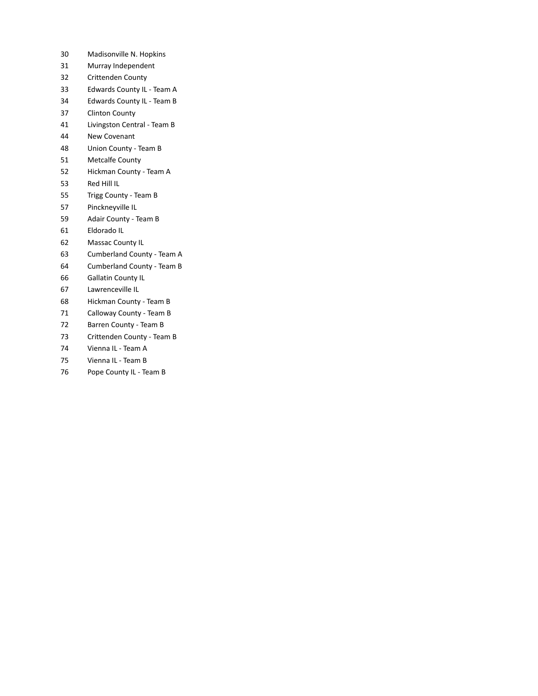- Madisonville N. Hopkins
- Murray Independent
- Crittenden County
- Edwards County IL Team A
- Edwards County IL Team B
- Clinton County
- Livingston Central Team B
- New Covenant
- Union County Team B
- Metcalfe County
- Hickman County Team A
- Red Hill IL
- Trigg County Team B
- Pinckneyville IL
- Adair County Team B
- Eldorado IL
- Massac County IL
- Cumberland County Team A
- Cumberland County Team B
- Gallatin County IL
- Lawrenceville IL
- Hickman County Team B
- Calloway County Team B
- Barren County Team B
- Crittenden County Team B
- Vienna IL Team A
- Vienna IL Team B
- 76 Pope County IL Team B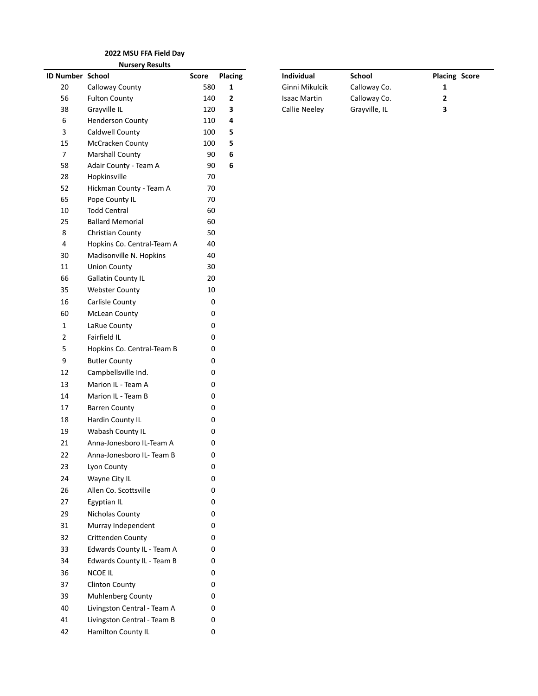**Nursery Results**

| ID Number School |                             | Score     | <b>Placing</b> | Individual           | School        | Placi |
|------------------|-----------------------------|-----------|----------------|----------------------|---------------|-------|
| 20               | Calloway County             | 580       | 1              | Ginni Mikulcik       | Calloway Co.  | 1     |
| 56               | <b>Fulton County</b>        | 140       | $\mathbf{2}$   | <b>Isaac Martin</b>  | Calloway Co.  | 2     |
| 38               | Grayville IL                | 120       | 3              | <b>Callie Neeley</b> | Grayville, IL | 3     |
| 6                | <b>Henderson County</b>     | 110       | 4              |                      |               |       |
| 3                | Caldwell County             | 100       | 5              |                      |               |       |
| 15               | McCracken County            | 100       | 5              |                      |               |       |
| $\overline{7}$   | <b>Marshall County</b>      | 90        | 6              |                      |               |       |
| 58               | Adair County - Team A       | 90        | 6              |                      |               |       |
| 28               | Hopkinsville                | 70        |                |                      |               |       |
| 52               | Hickman County - Team A     | 70        |                |                      |               |       |
| 65               | Pope County IL              | 70        |                |                      |               |       |
| 10               | <b>Todd Central</b>         | 60        |                |                      |               |       |
| 25               | <b>Ballard Memorial</b>     | 60        |                |                      |               |       |
| 8                | Christian County            | 50        |                |                      |               |       |
| 4                | Hopkins Co. Central-Team A  | 40        |                |                      |               |       |
| $30\,$           | Madisonville N. Hopkins     | 40        |                |                      |               |       |
| 11<br>66         | <b>Union County</b>         | 30        |                |                      |               |       |
|                  | <b>Gallatin County IL</b>   | 20        |                |                      |               |       |
| 35               | <b>Webster County</b>       | 10        |                |                      |               |       |
| 16               | Carlisle County             | $\pmb{0}$ |                |                      |               |       |
| 60               | McLean County               | 0         |                |                      |               |       |
| $\mathbf 1$      | LaRue County                | 0         |                |                      |               |       |
| $\overline{2}$   | Fairfield IL                | 0         |                |                      |               |       |
| 5                | Hopkins Co. Central-Team B  | 0         |                |                      |               |       |
| 9                | <b>Butler County</b>        | 0         |                |                      |               |       |
| 12               | Campbellsville Ind.         | 0         |                |                      |               |       |
| 13               | Marion IL - Team A          | 0         |                |                      |               |       |
| 14               | Marion IL - Team B          | 0         |                |                      |               |       |
| 17               | <b>Barren County</b>        | 0         |                |                      |               |       |
| 18               | Hardin County IL            | 0         |                |                      |               |       |
| 19               | Wabash County IL            | 0         |                |                      |               |       |
| 21               | Anna-Jonesboro IL-Team A    | 0         |                |                      |               |       |
| 22               | Anna-Jonesboro IL- Team B   | 0         |                |                      |               |       |
| 23               | Lyon County                 | 0         |                |                      |               |       |
| 24               | Wayne City IL               | 0         |                |                      |               |       |
| 26               | Allen Co. Scottsville       | 0         |                |                      |               |       |
| 27               | Egyptian IL                 | 0         |                |                      |               |       |
| 29               | Nicholas County             | 0         |                |                      |               |       |
| 31               | Murray Independent          | 0         |                |                      |               |       |
| 32               | Crittenden County           | 0         |                |                      |               |       |
| 33               | Edwards County IL - Team A  | 0         |                |                      |               |       |
| 34               | Edwards County IL - Team B  | 0         |                |                      |               |       |
| 36               | <b>NCOE IL</b>              | 0         |                |                      |               |       |
| 37               | <b>Clinton County</b>       | 0         |                |                      |               |       |
| 39               | Muhlenberg County           | 0         |                |                      |               |       |
| 40               | Livingston Central - Team A | 0         |                |                      |               |       |
| 41               | Livingston Central - Team B | 0         |                |                      |               |       |
| 42               | Hamilton County IL          | 0         |                |                      |               |       |

| ID Number School |                      | Score | <b>Placing</b> | Individual           | School        | <b>Placing Score</b> |
|------------------|----------------------|-------|----------------|----------------------|---------------|----------------------|
| 20               | Calloway County      | 580   |                | Ginni Mikulcik       | Calloway Co.  |                      |
| 56               | <b>Fulton County</b> | 140   |                | Isaac Martin         | Calloway Co.  |                      |
| 38               | Gravville IL         | 120   |                | <b>Callie Neelev</b> | Grayville, IL |                      |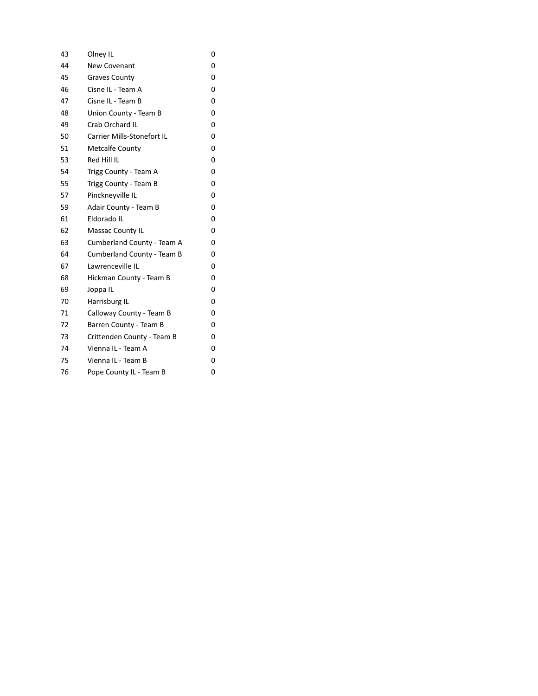| 43 | Olney IL                          | 0 |
|----|-----------------------------------|---|
| 44 | New Covenant                      | 0 |
| 45 | <b>Graves County</b>              | 0 |
| 46 | Cisne IL - Team A                 | 0 |
| 47 | Cisne IL - Team B                 | 0 |
| 48 | Union County - Team B             | 0 |
| 49 | Crab Orchard IL                   | 0 |
| 50 | Carrier Mills-Stonefort IL        | 0 |
| 51 | <b>Metcalfe County</b>            | 0 |
| 53 | Red Hill IL                       | 0 |
| 54 | Trigg County - Team A             | 0 |
| 55 | Trigg County - Team B             | 0 |
| 57 | Pinckneyville IL                  | 0 |
| 59 | Adair County - Team B             | 0 |
| 61 | Eldorado IL                       | 0 |
| 62 | Massac County IL                  | 0 |
| 63 | Cumberland County - Team A        | 0 |
| 64 | <b>Cumberland County - Team B</b> | 0 |
| 67 | Lawrenceville IL                  | 0 |
| 68 | Hickman County - Team B           | 0 |
| 69 | Joppa IL                          | 0 |
| 70 | Harrisburg IL                     | 0 |
| 71 | Calloway County - Team B          | 0 |
| 72 | Barren County - Team B            | 0 |
| 73 | Crittenden County - Team B        | 0 |
| 74 | Vienna IL - Team A                | 0 |
| 75 | Vienna IL - Team B                | 0 |
| 76 | Pope County IL - Team B           | 0 |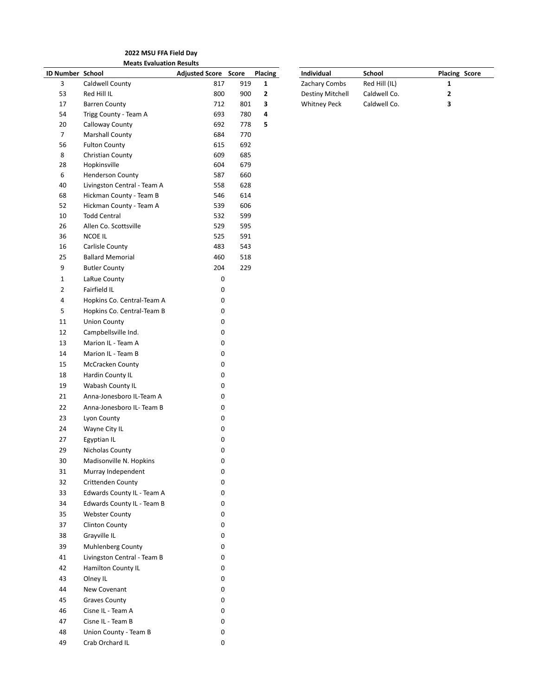**2022 MSU FFA Field Day Meats Evaluation Results**

| ID Number School |                                                   | <b>Adjusted Score Score</b> |     | <b>Placing</b> | Individual          | School        | <b>Placing Score</b> |  |
|------------------|---------------------------------------------------|-----------------------------|-----|----------------|---------------------|---------------|----------------------|--|
| 3                | Caldwell County                                   | 817                         | 919 | $\mathbf{1}$   | Zachary Combs       | Red Hill (IL) | $\mathbf{1}$         |  |
| 53               | Red Hill IL                                       | 800                         | 900 | $\mathbf{2}$   | Destiny Mitchell    | Caldwell Co.  | $\mathbf{2}$         |  |
| 17               | <b>Barren County</b>                              | 712                         | 801 | 3              | <b>Whitney Peck</b> | Caldwell Co.  | $\mathbf{3}$         |  |
| 54               | Trigg County - Team A                             | 693                         | 780 | 4              |                     |               |                      |  |
| 20               | Calloway County                                   | 692                         | 778 | 5              |                     |               |                      |  |
| $\overline{7}$   | <b>Marshall County</b>                            | 684                         | 770 |                |                     |               |                      |  |
| 56               | <b>Fulton County</b>                              | 615                         | 692 |                |                     |               |                      |  |
| $\bf 8$          | Christian County                                  | 609                         | 685 |                |                     |               |                      |  |
| 28               | Hopkinsville                                      | 604                         | 679 |                |                     |               |                      |  |
| 6                | <b>Henderson County</b>                           | 587                         | 660 |                |                     |               |                      |  |
| 40               | Livingston Central - Team A                       | 558                         | 628 |                |                     |               |                      |  |
| 68               | Hickman County - Team B                           | 546                         | 614 |                |                     |               |                      |  |
| 52               | Hickman County - Team A                           | 539                         | 606 |                |                     |               |                      |  |
| 10               | <b>Todd Central</b>                               | 532                         | 599 |                |                     |               |                      |  |
| 26               | Allen Co. Scottsville                             | 529                         | 595 |                |                     |               |                      |  |
| 36               | <b>NCOE IL</b>                                    | 525                         | 591 |                |                     |               |                      |  |
| 16               | Carlisle County                                   | 483                         | 543 |                |                     |               |                      |  |
| 25               | <b>Ballard Memorial</b>                           | 460                         | 518 |                |                     |               |                      |  |
| 9                | <b>Butler County</b>                              | 204                         | 229 |                |                     |               |                      |  |
| $\mathbf{1}$     | LaRue County                                      | $\pmb{0}$                   |     |                |                     |               |                      |  |
| $\overline{2}$   | Fairfield IL                                      | 0                           |     |                |                     |               |                      |  |
| 4                | Hopkins Co. Central-Team A                        | 0                           |     |                |                     |               |                      |  |
| 5                | Hopkins Co. Central-Team B                        | 0                           |     |                |                     |               |                      |  |
| 11               | <b>Union County</b>                               | 0                           |     |                |                     |               |                      |  |
| 12               | Campbellsville Ind.                               | 0                           |     |                |                     |               |                      |  |
| 13               | Marion IL - Team A                                | 0                           |     |                |                     |               |                      |  |
| 14               | Marion IL - Team B                                | $\pmb{0}$                   |     |                |                     |               |                      |  |
| 15               | McCracken County                                  | 0                           |     |                |                     |               |                      |  |
| 18               | Hardin County IL                                  | 0                           |     |                |                     |               |                      |  |
| 19               | Wabash County IL                                  | $\pmb{0}$                   |     |                |                     |               |                      |  |
| 21               | Anna-Jonesboro IL-Team A                          | 0                           |     |                |                     |               |                      |  |
| 22               | Anna-Jonesboro IL- Team B                         | 0                           |     |                |                     |               |                      |  |
| 23               | Lyon County                                       | $\pmb{0}$                   |     |                |                     |               |                      |  |
| 24               | Wayne City IL                                     | $\pmb{0}$                   |     |                |                     |               |                      |  |
| 27               | Egyptian IL                                       | 0                           |     |                |                     |               |                      |  |
| 29               | Nicholas County                                   | $\pmb{0}$                   |     |                |                     |               |                      |  |
| $30\,$           | Madisonville N. Hopkins                           | $\pmb{0}$                   |     |                |                     |               |                      |  |
| 31               | Murray Independent                                | $\pmb{0}$                   |     |                |                     |               |                      |  |
| 32               | Crittenden County                                 | 0                           |     |                |                     |               |                      |  |
| 33               | Edwards County IL - Team A                        | 0                           |     |                |                     |               |                      |  |
| 34               | Edwards County IL - Team B                        | 0                           |     |                |                     |               |                      |  |
| 35               | <b>Webster County</b>                             | 0                           |     |                |                     |               |                      |  |
| 37               | <b>Clinton County</b>                             | 0                           |     |                |                     |               |                      |  |
| 38               | Grayville IL                                      | 0                           |     |                |                     |               |                      |  |
| 39               |                                                   |                             |     |                |                     |               |                      |  |
| 41               | Muhlenberg County                                 | 0                           |     |                |                     |               |                      |  |
|                  | Livingston Central - Team B<br>Hamilton County IL | 0                           |     |                |                     |               |                      |  |
| 42               |                                                   | 0                           |     |                |                     |               |                      |  |
| 43               | Olney IL                                          | 0                           |     |                |                     |               |                      |  |
| 44               | New Covenant                                      | 0                           |     |                |                     |               |                      |  |
| 45               | <b>Graves County</b>                              | 0                           |     |                |                     |               |                      |  |
| 46               | Cisne IL - Team A                                 | 0                           |     |                |                     |               |                      |  |
| 47               | Cisne IL - Team B                                 | 0                           |     |                |                     |               |                      |  |
| 48               | Union County - Team B                             | 0                           |     |                |                     |               |                      |  |
| 49               | Crab Orchard IL                                   | 0                           |     |                |                     |               |                      |  |

| Individual          | School        | <b>Placing Score</b> |
|---------------------|---------------|----------------------|
| Zachary Combs       | Red Hill (IL) | п.                   |
| Destiny Mitchell    | Caldwell Co.  | 2                    |
| <b>Whitney Peck</b> | Caldwell Co.  | з                    |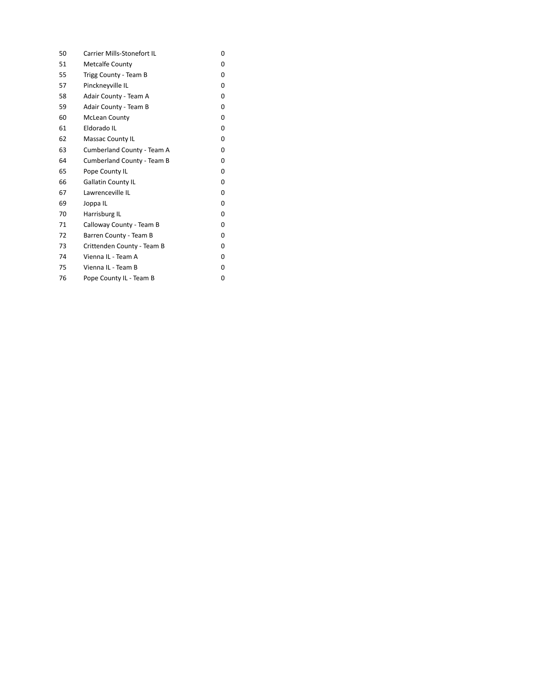| 50 | Carrier Mills-Stonefort IL | 0 |
|----|----------------------------|---|
| 51 | <b>Metcalfe County</b>     | 0 |
| 55 | Trigg County - Team B      | 0 |
| 57 | Pinckneyville IL           | 0 |
| 58 | Adair County - Team A      | 0 |
| 59 | Adair County - Team B      | 0 |
| 60 | <b>McLean County</b>       | 0 |
| 61 | Eldorado IL                | 0 |
| 62 | <b>Massac County IL</b>    | 0 |
| 63 | Cumberland County - Team A | 0 |
| 64 | Cumberland County - Team B | 0 |
| 65 | Pope County IL             | 0 |
| 66 | <b>Gallatin County IL</b>  | 0 |
| 67 | Lawrenceville IL           | 0 |
| 69 | Joppa IL                   | 0 |
| 70 | Harrisburg IL              | 0 |
| 71 | Calloway County - Team B   | 0 |
| 72 | Barren County - Team B     | 0 |
| 73 | Crittenden County - Team B | 0 |
| 74 | Vienna IL - Team A         | 0 |
| 75 | Vienna IL - Team B         | 0 |
| 76 | Pope County IL - Team B    | 0 |
|    |                            |   |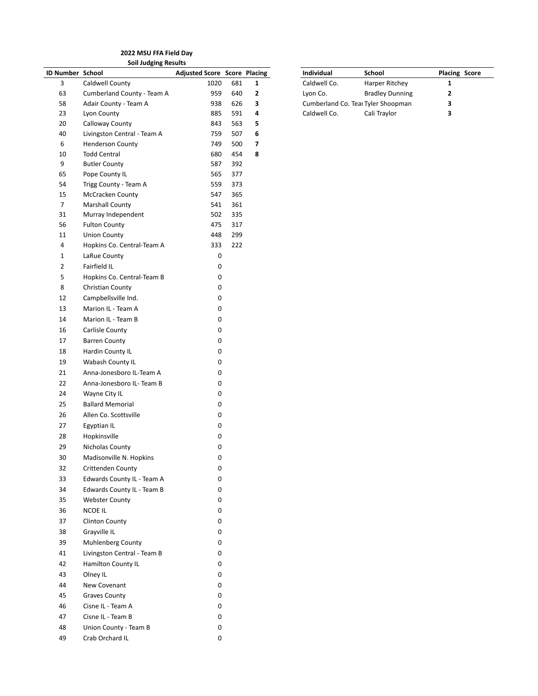**2022 MSU FFA Field Day Soil Judging Results**

|                  | <b>SOII JUDGING RESUITS</b>                         |                                     |            |              |              |                                                              |                      |
|------------------|-----------------------------------------------------|-------------------------------------|------------|--------------|--------------|--------------------------------------------------------------|----------------------|
| ID Number School |                                                     | <b>Adjusted Score Score Placing</b> |            |              | Individual   | School                                                       | <b>Placing Score</b> |
| 3<br>63          | Caldwell County                                     | 1020                                | 681        | $\mathbf{1}$ | Caldwell Co. | Harper Ritchey                                               | 1                    |
| 58               | Cumberland County - Team A<br>Adair County - Team A | 959<br>938                          | 640<br>626 | 2<br>з       | Lyon Co.     | <b>Bradley Dunning</b><br>Cumberland Co. Teal Tyler Shoopman | 2<br>3               |
| 23               | Lyon County                                         | 885                                 | 591        | 4            | Caldwell Co. | Cali Traylor                                                 | 3                    |
| 20               | Calloway County                                     | 843                                 | 563        | 5            |              |                                                              |                      |
| 40               | Livingston Central - Team A                         | 759                                 | 507        | 6            |              |                                                              |                      |
| 6                | <b>Henderson County</b>                             | 749                                 | 500        | 7            |              |                                                              |                      |
| 10               | <b>Todd Central</b>                                 | 680                                 | 454        | 8            |              |                                                              |                      |
| 9                | <b>Butler County</b>                                | 587                                 | 392        |              |              |                                                              |                      |
| 65               | Pope County IL                                      | 565                                 | 377        |              |              |                                                              |                      |
| 54               | Trigg County - Team A                               | 559                                 | 373        |              |              |                                                              |                      |
| 15               | McCracken County                                    | 547                                 | 365        |              |              |                                                              |                      |
| $\overline{7}$   | Marshall County                                     | 541                                 | 361        |              |              |                                                              |                      |
| 31               | Murray Independent                                  | 502                                 | 335        |              |              |                                                              |                      |
| 56               | <b>Fulton County</b>                                | 475                                 | 317        |              |              |                                                              |                      |
| 11               | <b>Union County</b>                                 | 448                                 | 299        |              |              |                                                              |                      |
| 4                | Hopkins Co. Central-Team A                          | 333                                 | 222        |              |              |                                                              |                      |
| $\mathbf{1}$     | LaRue County                                        | 0                                   |            |              |              |                                                              |                      |
| $\overline{2}$   | Fairfield IL                                        | 0                                   |            |              |              |                                                              |                      |
| 5                | Hopkins Co. Central-Team B                          | 0                                   |            |              |              |                                                              |                      |
| 8                | Christian County                                    | 0                                   |            |              |              |                                                              |                      |
| 12               | Campbellsville Ind.                                 | 0                                   |            |              |              |                                                              |                      |
| 13               | Marion IL - Team A                                  | 0                                   |            |              |              |                                                              |                      |
| 14               | Marion IL - Team B                                  | 0                                   |            |              |              |                                                              |                      |
| 16               |                                                     | 0                                   |            |              |              |                                                              |                      |
|                  | Carlisle County                                     |                                     |            |              |              |                                                              |                      |
| 17               | <b>Barren County</b>                                | 0                                   |            |              |              |                                                              |                      |
| 18               | Hardin County IL                                    | 0                                   |            |              |              |                                                              |                      |
| 19               | Wabash County IL                                    | 0                                   |            |              |              |                                                              |                      |
| 21               | Anna-Jonesboro IL-Team A                            | 0                                   |            |              |              |                                                              |                      |
| 22               | Anna-Jonesboro IL- Team B                           | 0                                   |            |              |              |                                                              |                      |
| 24               | Wayne City IL                                       | 0                                   |            |              |              |                                                              |                      |
| 25               | <b>Ballard Memorial</b>                             | 0                                   |            |              |              |                                                              |                      |
| 26               | Allen Co. Scottsville                               | 0                                   |            |              |              |                                                              |                      |
| 27               | Egyptian IL                                         | 0                                   |            |              |              |                                                              |                      |
| 28               | Hopkinsville                                        | 0                                   |            |              |              |                                                              |                      |
| 29               | Nicholas County                                     | 0                                   |            |              |              |                                                              |                      |
| 30               | Madisonville N. Hopkins                             | 0                                   |            |              |              |                                                              |                      |
| 32               | Crittenden County                                   | 0                                   |            |              |              |                                                              |                      |
| 33               | Edwards County IL - Team A                          | 0                                   |            |              |              |                                                              |                      |
| 34               | Edwards County IL - Team B                          | 0                                   |            |              |              |                                                              |                      |
| 35               | <b>Webster County</b>                               | 0                                   |            |              |              |                                                              |                      |
| 36               | NCOE IL                                             | 0                                   |            |              |              |                                                              |                      |
| 37               | <b>Clinton County</b>                               | 0                                   |            |              |              |                                                              |                      |
| 38               | Grayville IL                                        | 0                                   |            |              |              |                                                              |                      |
| 39               | Muhlenberg County                                   | 0                                   |            |              |              |                                                              |                      |
| 41               | Livingston Central - Team B                         | 0                                   |            |              |              |                                                              |                      |
| 42               | Hamilton County IL                                  | 0                                   |            |              |              |                                                              |                      |
| 43               | Olney IL                                            | 0                                   |            |              |              |                                                              |                      |
| 44               | New Covenant                                        | 0                                   |            |              |              |                                                              |                      |
| 45               | <b>Graves County</b>                                | 0                                   |            |              |              |                                                              |                      |
| 46               | Cisne IL - Team A                                   | 0                                   |            |              |              |                                                              |                      |
| 47               | Cisne IL - Team B                                   | 0                                   |            |              |              |                                                              |                      |
| 48               | Union County - Team B                               | 0                                   |            |              |              |                                                              |                      |
| 49               | Crab Orchard IL                                     | 0                                   |            |              |              |                                                              |                      |
|                  |                                                     |                                     |            |              |              |                                                              |                      |

| Individual   | School                             | <b>Placing Score</b> |
|--------------|------------------------------------|----------------------|
| Caldwell Co. | Harper Ritchey                     |                      |
| Lyon Co.     | <b>Bradley Dunning</b>             | 7                    |
|              | Cumberland Co. Tear Tyler Shoopman | 3                    |
| Caldwell Co. | Cali Traylor                       | 3                    |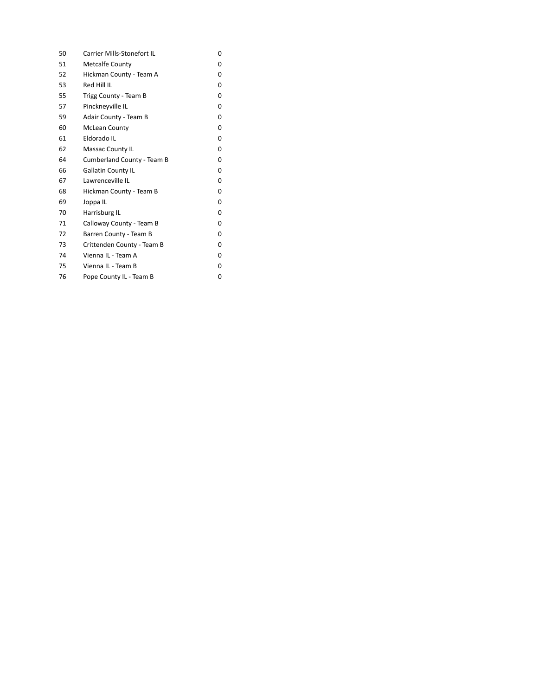| 50 | <b>Carrier Mills-Stonefort IL</b> | 0 |
|----|-----------------------------------|---|
| 51 | <b>Metcalfe County</b>            | 0 |
| 52 | Hickman County - Team A           | 0 |
| 53 | Red Hill IL                       | 0 |
| 55 | Trigg County - Team B             | 0 |
| 57 | Pinckneyville IL                  | 0 |
| 59 | Adair County - Team B             | 0 |
| 60 | <b>McLean County</b>              | 0 |
| 61 | Eldorado IL                       | 0 |
| 62 | Massac County IL                  | 0 |
| 64 | Cumberland County - Team B        | 0 |
| 66 | <b>Gallatin County IL</b>         | 0 |
| 67 | Lawrenceville IL                  | 0 |
| 68 | Hickman County - Team B           | 0 |
| 69 | Joppa IL                          | 0 |
| 70 | Harrisburg IL                     | 0 |
| 71 | Calloway County - Team B          | 0 |
| 72 | Barren County - Team B            | 0 |
| 73 | Crittenden County - Team B        | 0 |
| 74 | Vienna IL - Team A                | 0 |
| 75 | Vienna IL - Team B                | 0 |
| 76 | Pope County IL - Team B           | 0 |
|    |                                   |   |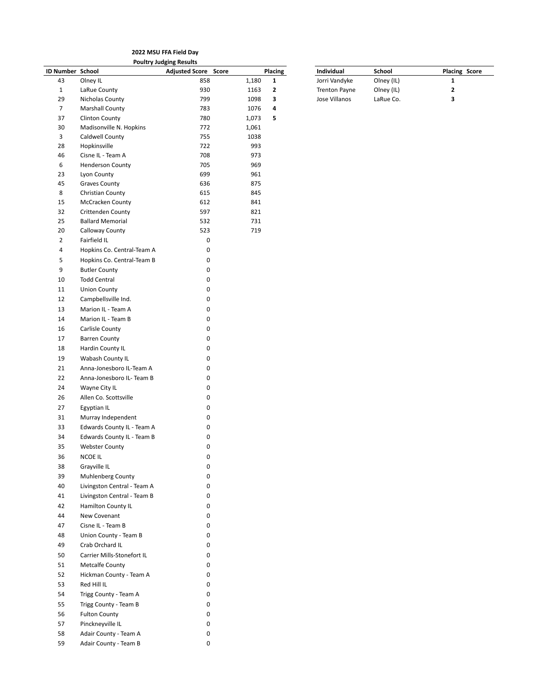|                         | 2022 MSU FFA Field Day      |                                |       |              |                      |            |                      |  |
|-------------------------|-----------------------------|--------------------------------|-------|--------------|----------------------|------------|----------------------|--|
|                         |                             | <b>Poultry Judging Results</b> |       |              |                      |            |                      |  |
| <b>ID Number School</b> |                             | <b>Adjusted Score Score</b>    |       | Placing      | Individual           | School     | <b>Placing Score</b> |  |
| 43                      | Olney IL                    | 858                            | 1,180 | $\mathbf{1}$ | Jorri Vandyke        | Olney (IL) | $\mathbf{1}$         |  |
| $\mathbf{1}$            | LaRue County                | 930                            | 1163  | 2            | <b>Trenton Payne</b> | Olney (IL) | $\mathbf{2}$         |  |
| 29                      | Nicholas County             | 799                            | 1098  | 3            | Jose Villanos        | LaRue Co.  | 3                    |  |
| $\overline{7}$          | <b>Marshall County</b>      | 783                            | 1076  | 4            |                      |            |                      |  |
| 37                      | <b>Clinton County</b>       | 780                            | 1,073 | 5            |                      |            |                      |  |
| 30                      | Madisonville N. Hopkins     | 772                            | 1,061 |              |                      |            |                      |  |
| 3                       | Caldwell County             | 755                            | 1038  |              |                      |            |                      |  |
| 28                      | Hopkinsville                | 722                            | 993   |              |                      |            |                      |  |
| 46                      | Cisne IL - Team A           | 708                            | 973   |              |                      |            |                      |  |
| 6                       | <b>Henderson County</b>     | 705                            | 969   |              |                      |            |                      |  |
| 23                      | Lyon County                 | 699                            | 961   |              |                      |            |                      |  |
| 45                      | Graves County               | 636                            | 875   |              |                      |            |                      |  |
| 8                       | Christian County            | 615                            | 845   |              |                      |            |                      |  |
|                         |                             |                                |       |              |                      |            |                      |  |
| 15                      | <b>McCracken County</b>     | 612                            | 841   |              |                      |            |                      |  |
| 32                      | <b>Crittenden County</b>    | 597                            | 821   |              |                      |            |                      |  |
| 25                      | <b>Ballard Memorial</b>     | 532                            | 731   |              |                      |            |                      |  |
| 20                      | Calloway County             | 523                            | 719   |              |                      |            |                      |  |
| $\overline{2}$          | Fairfield IL                | 0                              |       |              |                      |            |                      |  |
| 4                       | Hopkins Co. Central-Team A  | 0                              |       |              |                      |            |                      |  |
| 5                       | Hopkins Co. Central-Team B  | 0                              |       |              |                      |            |                      |  |
| 9                       | <b>Butler County</b>        | 0                              |       |              |                      |            |                      |  |
| $10\,$                  | <b>Todd Central</b>         | 0                              |       |              |                      |            |                      |  |
| 11                      | <b>Union County</b>         | 0                              |       |              |                      |            |                      |  |
| 12                      | Campbellsville Ind.         | 0                              |       |              |                      |            |                      |  |
| 13                      | Marion IL - Team A          | 0                              |       |              |                      |            |                      |  |
| 14                      | Marion IL - Team B          | 0                              |       |              |                      |            |                      |  |
|                         |                             |                                |       |              |                      |            |                      |  |
| 16                      | Carlisle County             | 0                              |       |              |                      |            |                      |  |
| 17                      | <b>Barren County</b>        | 0                              |       |              |                      |            |                      |  |
| 18                      | Hardin County IL            | 0                              |       |              |                      |            |                      |  |
| 19                      | Wabash County IL            | 0                              |       |              |                      |            |                      |  |
| 21                      | Anna-Jonesboro IL-Team A    | 0                              |       |              |                      |            |                      |  |
| 22                      | Anna-Jonesboro IL- Team B   | 0                              |       |              |                      |            |                      |  |
| 24                      | Wayne City IL               | 0                              |       |              |                      |            |                      |  |
| 26                      | Allen Co. Scottsville       | 0                              |       |              |                      |            |                      |  |
| 27                      | Egyptian IL                 | 0                              |       |              |                      |            |                      |  |
| 31                      | Murray Independent          | 0                              |       |              |                      |            |                      |  |
| 33                      | Edwards County IL - Team A  | 0                              |       |              |                      |            |                      |  |
| 34                      | Edwards County IL - Team B  | 0                              |       |              |                      |            |                      |  |
| 35                      | <b>Webster County</b>       | 0                              |       |              |                      |            |                      |  |
| 36                      | <b>NCOE IL</b>              | 0                              |       |              |                      |            |                      |  |
|                         |                             |                                |       |              |                      |            |                      |  |
| 38                      | Grayville IL                | 0                              |       |              |                      |            |                      |  |
| 39                      | Muhlenberg County           | 0                              |       |              |                      |            |                      |  |
| 40                      | Livingston Central - Team A | 0                              |       |              |                      |            |                      |  |
| 41                      | Livingston Central - Team B | 0                              |       |              |                      |            |                      |  |
| 42                      | Hamilton County IL          | 0                              |       |              |                      |            |                      |  |
| 44                      | New Covenant                | 0                              |       |              |                      |            |                      |  |
| 47                      | Cisne IL - Team B           | 0                              |       |              |                      |            |                      |  |
| 48                      | Union County - Team B       | 0                              |       |              |                      |            |                      |  |
| 49                      | Crab Orchard IL             | 0                              |       |              |                      |            |                      |  |
| 50                      | Carrier Mills-Stonefort IL  | 0                              |       |              |                      |            |                      |  |
| 51                      | <b>Metcalfe County</b>      | 0                              |       |              |                      |            |                      |  |
| 52                      | Hickman County - Team A     | 0                              |       |              |                      |            |                      |  |
| 53                      | Red Hill IL                 | 0                              |       |              |                      |            |                      |  |
|                         |                             |                                |       |              |                      |            |                      |  |
| 54                      | Trigg County - Team A       | 0                              |       |              |                      |            |                      |  |
| 55                      | Trigg County - Team B       | 0                              |       |              |                      |            |                      |  |
| 56                      | <b>Fulton County</b>        | 0                              |       |              |                      |            |                      |  |
| 57                      | Pinckneyville IL            | $\mathbf 0$                    |       |              |                      |            |                      |  |
| 58                      | Adair County - Team A       | 0                              |       |              |                      |            |                      |  |
| 59                      | Adair County - Team B       | 0                              |       |              |                      |            |                      |  |

| Individual           | School     | <b>Placing Score</b> |
|----------------------|------------|----------------------|
| Jorri Vandyke        | Olney (IL) |                      |
| <b>Trenton Payne</b> | Olney (IL) | 2                    |
| Jose Villanos        | LaRue Co.  |                      |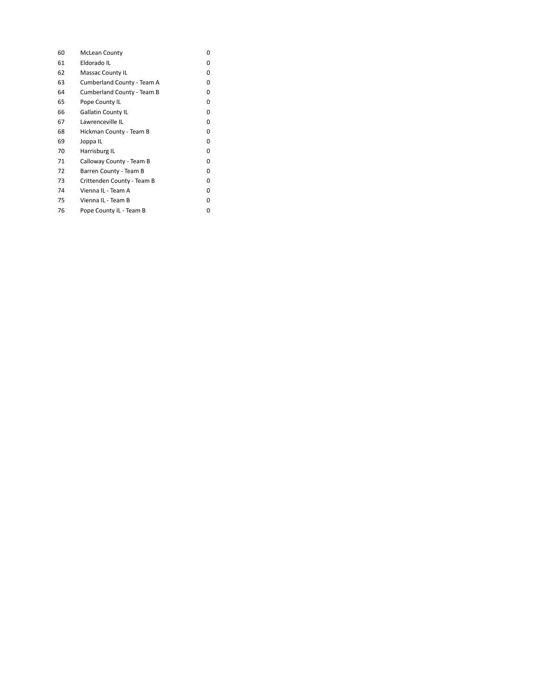| 60 | <b>McLean County</b>       | 0 |
|----|----------------------------|---|
| 61 | Eldorado IL                | 0 |
| 62 | Massac County IL           | 0 |
| 63 | Cumberland County - Team A | 0 |
| 64 | Cumberland County - Team B | 0 |
| 65 | Pope County IL             | 0 |
| 66 | <b>Gallatin County IL</b>  | 0 |
| 67 | Lawrenceville IL           | 0 |
| 68 | Hickman County - Team B    | 0 |
| 69 | Joppa IL                   | 0 |
| 70 | Harrisburg IL              | 0 |
| 71 | Calloway County - Team B   | 0 |
| 72 | Barren County - Team B     | 0 |
| 73 | Crittenden County - Team B | 0 |
| 74 | Vienna IL - Team A         | 0 |
| 75 | Vienna IL - Team B         | 0 |
| 76 | Pope County IL - Team B    | 0 |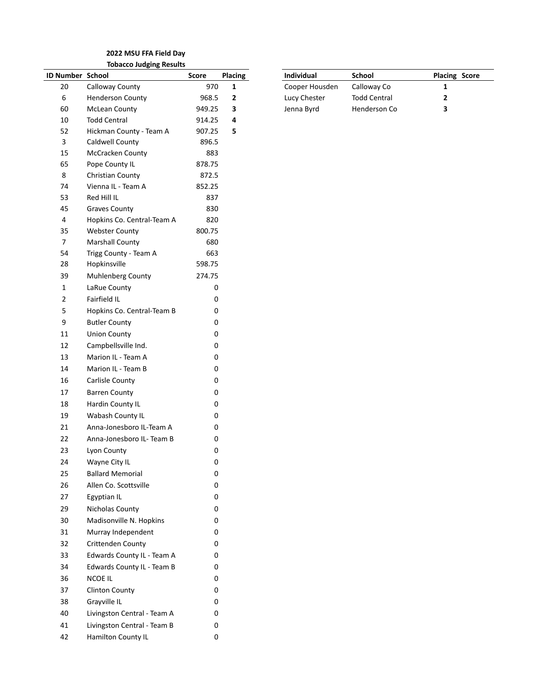#### **2022 MSU FFA Field Day Tobacco Judging Results**

|                         | TODACCO JUDGING RESUITS     |           |                |                |                     |                         |
|-------------------------|-----------------------------|-----------|----------------|----------------|---------------------|-------------------------|
| ID Number School        |                             | Score     | <b>Placing</b> | Individual     | School              | Placi                   |
| 20                      | Calloway County             | 970       | $\mathbf{1}$   | Cooper Housden | Calloway Co         | 1                       |
| 6                       | <b>Henderson County</b>     | 968.5     | $\mathbf{2}$   | Lucy Chester   | <b>Todd Central</b> | $\overline{\mathbf{c}}$ |
| 60                      | <b>McLean County</b>        | 949.25    | 3              | Jenna Byrd     | Henderson Co        | 3                       |
| 10                      | <b>Todd Central</b>         | 914.25    | 4              |                |                     |                         |
| 52                      | Hickman County - Team A     | 907.25    | 5              |                |                     |                         |
| $\overline{\mathbf{3}}$ | Caldwell County             | 896.5     |                |                |                     |                         |
| 15                      | McCracken County            | 883       |                |                |                     |                         |
| 65                      | Pope County IL              | 878.75    |                |                |                     |                         |
| 8                       | Christian County            | 872.5     |                |                |                     |                         |
| 74                      | Vienna IL - Team A          | 852.25    |                |                |                     |                         |
| 53                      | Red Hill IL                 | 837       |                |                |                     |                         |
| 45                      | <b>Graves County</b>        | 830       |                |                |                     |                         |
| 4                       | Hopkins Co. Central-Team A  | 820       |                |                |                     |                         |
| 35                      | <b>Webster County</b>       | 800.75    |                |                |                     |                         |
| $\overline{7}$          | <b>Marshall County</b>      | 680       |                |                |                     |                         |
| 54                      | Trigg County - Team A       | 663       |                |                |                     |                         |
| 28                      | Hopkinsville                | 598.75    |                |                |                     |                         |
| 39                      | Muhlenberg County           | 274.75    |                |                |                     |                         |
| $\mathbf{1}$            | LaRue County                | 0         |                |                |                     |                         |
| $\overline{2}$          | Fairfield IL                | 0         |                |                |                     |                         |
| $\mathsf S$             | Hopkins Co. Central-Team B  | 0         |                |                |                     |                         |
| 9                       | <b>Butler County</b>        | 0         |                |                |                     |                         |
| 11                      | <b>Union County</b>         | 0         |                |                |                     |                         |
| 12                      | Campbellsville Ind.         | 0         |                |                |                     |                         |
| 13                      | Marion IL - Team A          | 0         |                |                |                     |                         |
| 14                      | Marion IL - Team B          | 0         |                |                |                     |                         |
| 16                      | Carlisle County             | 0         |                |                |                     |                         |
| 17                      | <b>Barren County</b>        | 0         |                |                |                     |                         |
| 18                      | Hardin County IL            | 0         |                |                |                     |                         |
| 19                      | Wabash County IL            | 0         |                |                |                     |                         |
| 21                      | Anna-Jonesboro IL-Team A    | 0         |                |                |                     |                         |
| 22                      | Anna-Jonesboro IL- Team B   | 0         |                |                |                     |                         |
| 23                      | Lyon County                 | 0         |                |                |                     |                         |
| 24                      | Wayne City IL               | $\pmb{0}$ |                |                |                     |                         |
| 25                      | <b>Ballard Memorial</b>     | 0         |                |                |                     |                         |
| 26                      | Allen Co. Scottsville       | 0         |                |                |                     |                         |
| 27                      | Egyptian IL                 | 0         |                |                |                     |                         |
| 29                      | Nicholas County             | 0         |                |                |                     |                         |
| 30                      | Madisonville N. Hopkins     | 0         |                |                |                     |                         |
| 31                      | Murray Independent          | 0         |                |                |                     |                         |
| 32                      | Crittenden County           | 0         |                |                |                     |                         |
| 33                      | Edwards County IL - Team A  | 0         |                |                |                     |                         |
| 34                      | Edwards County IL - Team B  | 0         |                |                |                     |                         |
| 36                      | NCOE IL                     | 0         |                |                |                     |                         |
| 37                      | <b>Clinton County</b>       | 0         |                |                |                     |                         |
| 38                      | Grayville IL                | 0         |                |                |                     |                         |
| 40                      | Livingston Central - Team A | 0         |                |                |                     |                         |
| 41                      | Livingston Central - Team B | 0         |                |                |                     |                         |
| 42                      | Hamilton County IL          | 0         |                |                |                     |                         |
|                         |                             |           |                |                |                     |                         |

| ID Number School |                         | Score  | <b>Placing</b> | <b>Individual</b> | School              | <b>Placing Score</b> |
|------------------|-------------------------|--------|----------------|-------------------|---------------------|----------------------|
| 20               | Calloway County         | 970    |                | Cooper Housden    | Calloway Co         |                      |
| b                | <b>Henderson County</b> | 968.5  |                | Lucy Chester      | <b>Todd Central</b> |                      |
| 60               | McLean County           | 949.25 |                | Jenna Byrd        | Henderson Co        |                      |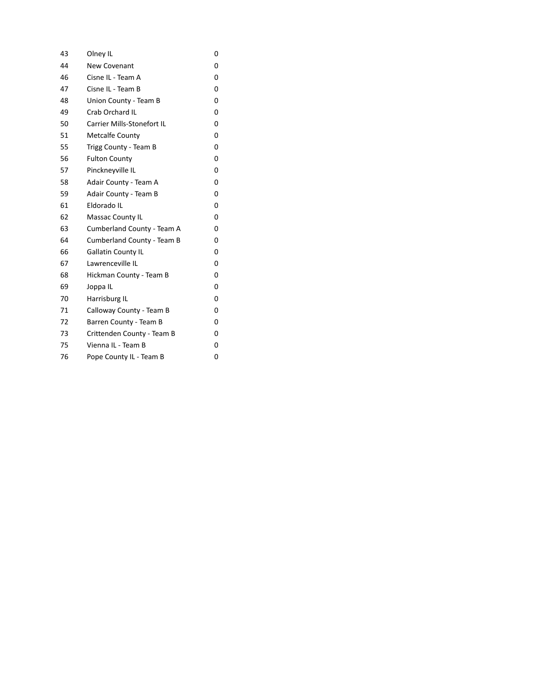| 43 | Olney IL                          | 0 |
|----|-----------------------------------|---|
| 44 | <b>New Covenant</b>               | 0 |
| 46 | Cisne IL - Team A                 | 0 |
| 47 | Cisne IL - Team B                 | 0 |
| 48 | Union County - Team B             | 0 |
| 49 | Crab Orchard IL                   | 0 |
| 50 | <b>Carrier Mills-Stonefort IL</b> | 0 |
| 51 | Metcalfe County                   | 0 |
| 55 | Trigg County - Team B             | 0 |
| 56 | <b>Fulton County</b>              | 0 |
| 57 | Pinckneyville IL                  | 0 |
| 58 | Adair County - Team A             | 0 |
| 59 | Adair County - Team B             | 0 |
| 61 | Eldorado IL                       | 0 |
| 62 | <b>Massac County IL</b>           | 0 |
| 63 | Cumberland County - Team A        | 0 |
| 64 | Cumberland County - Team B        | 0 |
| 66 | Gallatin County IL                | 0 |
| 67 | Lawrenceville IL                  | 0 |
| 68 | Hickman County - Team B           | 0 |
| 69 | Joppa IL                          | 0 |
| 70 | Harrisburg IL                     | 0 |
| 71 | Calloway County - Team B          | 0 |
| 72 | Barren County - Team B            | 0 |
| 73 | Crittenden County - Team B        | 0 |
| 75 | Vienna IL - Team B                | 0 |
| 76 | Pope County IL - Team B           | 0 |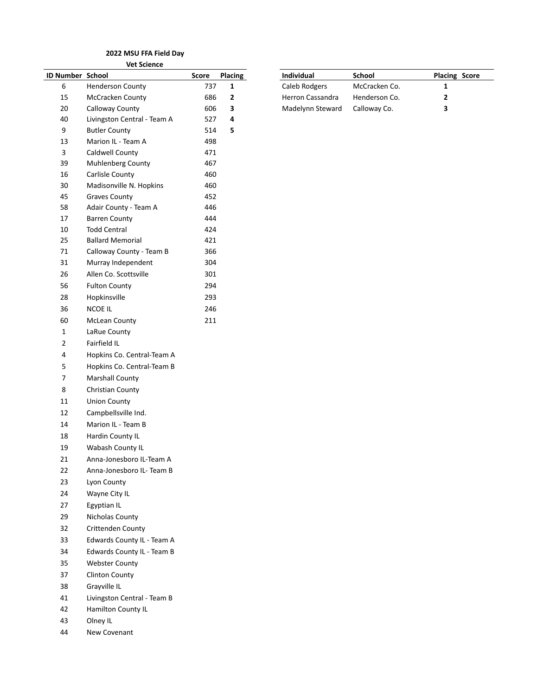|                  | <b>Vet Science</b>          |       |                |                  |               |       |
|------------------|-----------------------------|-------|----------------|------------------|---------------|-------|
| ID Number School |                             | Score | <b>Placing</b> | Individual       | School        | Placi |
| 6                | <b>Henderson County</b>     | 737   | 1              | Caleb Rodgers    | McCracken Co. | 1     |
| 15               | McCracken County            | 686   | 2              | Herron Cassandra | Henderson Co. | 2     |
| 20               | Calloway County             | 606   | 3              | Madelynn Steward | Calloway Co.  | 3     |
| 40               | Livingston Central - Team A | 527   | 4              |                  |               |       |
| 9                | <b>Butler County</b>        | 514   | 5              |                  |               |       |
| 13               | Marion IL - Team A          | 498   |                |                  |               |       |
| 3                | Caldwell County             | 471   |                |                  |               |       |
| 39               | Muhlenberg County           | 467   |                |                  |               |       |
| 16               | Carlisle County             | 460   |                |                  |               |       |
| 30               | Madisonville N. Hopkins     | 460   |                |                  |               |       |
| 45               | <b>Graves County</b>        | 452   |                |                  |               |       |
| 58               | Adair County - Team A       | 446   |                |                  |               |       |
| 17               | <b>Barren County</b>        | 444   |                |                  |               |       |
| 10               | <b>Todd Central</b>         | 424   |                |                  |               |       |
| 25               | <b>Ballard Memorial</b>     | 421   |                |                  |               |       |
| 71               | Calloway County - Team B    | 366   |                |                  |               |       |
| 31               | Murray Independent          | 304   |                |                  |               |       |
| 26               | Allen Co. Scottsville       | 301   |                |                  |               |       |
| 56               | <b>Fulton County</b>        | 294   |                |                  |               |       |
| 28               | Hopkinsville                | 293   |                |                  |               |       |
| 36               | NCOE IL                     | 246   |                |                  |               |       |
| 60               | <b>McLean County</b>        | 211   |                |                  |               |       |
| $\mathbf{1}$     | LaRue County                |       |                |                  |               |       |
| $\overline{2}$   | Fairfield IL                |       |                |                  |               |       |
| 4                | Hopkins Co. Central-Team A  |       |                |                  |               |       |
| 5                | Hopkins Co. Central-Team B  |       |                |                  |               |       |
| $\overline{7}$   | <b>Marshall County</b>      |       |                |                  |               |       |
| 8                | Christian County            |       |                |                  |               |       |
| 11               | <b>Union County</b>         |       |                |                  |               |       |
| 12               | Campbellsville Ind.         |       |                |                  |               |       |
| 14               | Marion IL - Team B          |       |                |                  |               |       |
| 18               | Hardin County IL            |       |                |                  |               |       |
| 19               | Wabash County IL            |       |                |                  |               |       |
| 21               | Anna-Jonesboro IL-Team A    |       |                |                  |               |       |
| 22               | Anna-Jonesboro IL- Team B   |       |                |                  |               |       |
| 23               | Lyon County                 |       |                |                  |               |       |
| 24               | Wayne City IL               |       |                |                  |               |       |
| 27               | Egyptian IL                 |       |                |                  |               |       |
| 29               | Nicholas County             |       |                |                  |               |       |
| 32               | Crittenden County           |       |                |                  |               |       |
| 33               | Edwards County IL - Team A  |       |                |                  |               |       |
| 34               | Edwards County IL - Team B  |       |                |                  |               |       |
| 35               | <b>Webster County</b>       |       |                |                  |               |       |
| 37               | <b>Clinton County</b>       |       |                |                  |               |       |
| 38               | Grayville IL                |       |                |                  |               |       |
|                  |                             |       |                |                  |               |       |
| 41               | Livingston Central - Team B |       |                |                  |               |       |
| 42               | Hamilton County IL          |       |                |                  |               |       |

 Olney IL New Covenant

| ID Number School |                  | Score | Placing | <b>Individual</b> | School        | <b>Placing Score</b> |
|------------------|------------------|-------|---------|-------------------|---------------|----------------------|
| b                | Henderson County | 737   |         | Caleb Rodgers     | McCracken Co. |                      |
| 15               | McCracken County | 686   |         | Herron Cassandra  | Henderson Co. |                      |
| 20               | Calloway County  | 606   |         | Madelynn Steward  | Calloway Co.  |                      |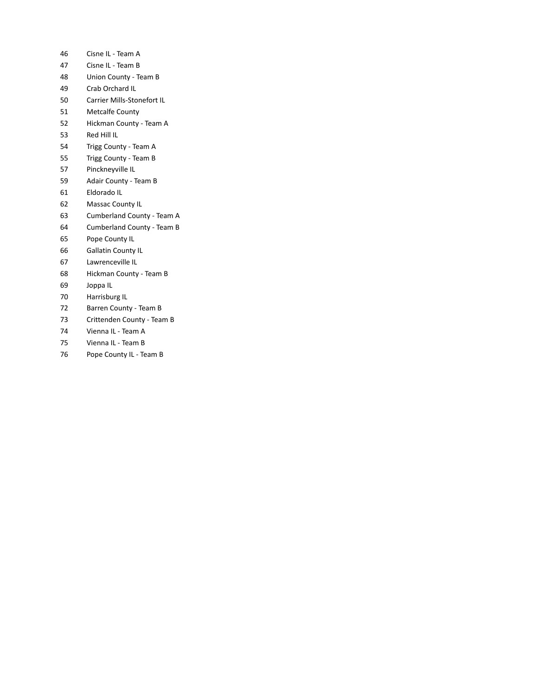- Cisne IL Team A
- Cisne IL Team B
- Union County Team B
- Crab Orchard IL
- Carrier Mills-Stonefort IL
- Metcalfe County
- Hickman County Team A
- Red Hill IL
- Trigg County Team A
- Trigg County Team B
- Pinckneyville IL
- Adair County Team B
- Eldorado IL
- Massac County IL
- Cumberland County Team A
- Cumberland County Team B
- Pope County IL
- Gallatin County IL
- Lawrenceville IL
- Hickman County Team B
- Joppa IL
- Harrisburg IL
- Barren County Team B
- Crittenden County Team B
- Vienna IL Team A
- Vienna IL Team B
- Pope County IL Team B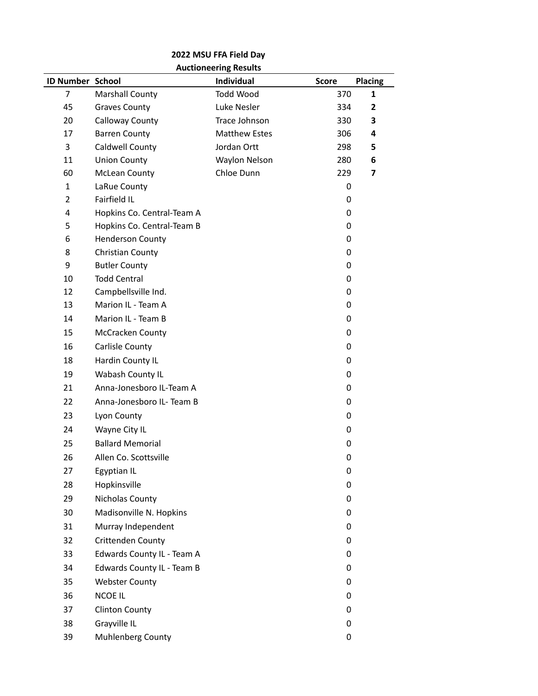## **2022 MSU FFA Field Day Auctioneering Results**

| <b>ID Number School</b> |                            | Individual           | <b>Score</b> | <b>Placing</b> |
|-------------------------|----------------------------|----------------------|--------------|----------------|
| 7                       | Marshall County            | Todd Wood            | 370          | 1              |
| 45                      | <b>Graves County</b>       | Luke Nesler          | 334          | 2              |
| 20                      | Calloway County            | Trace Johnson        | 330          | 3              |
| 17                      | <b>Barren County</b>       | <b>Matthew Estes</b> | 306          | 4              |
| 3                       | Caldwell County            | Jordan Ortt          | 298          | 5              |
| 11                      | <b>Union County</b>        | Waylon Nelson        | 280          | 6              |
| 60                      | <b>McLean County</b>       | Chloe Dunn           | 229          | 7              |
| $\mathbf{1}$            | LaRue County               |                      | 0            |                |
| $\overline{2}$          | Fairfield IL               |                      | 0            |                |
| 4                       | Hopkins Co. Central-Team A |                      | 0            |                |
| 5                       | Hopkins Co. Central-Team B |                      | 0            |                |
| 6                       | <b>Henderson County</b>    |                      | 0            |                |
| 8                       | Christian County           |                      | 0            |                |
| 9                       | <b>Butler County</b>       |                      | 0            |                |
| 10                      | <b>Todd Central</b>        |                      | 0            |                |
| 12                      | Campbellsville Ind.        |                      | 0            |                |
| 13                      | Marion IL - Team A         |                      | 0            |                |
| 14                      | Marion IL - Team B         |                      | 0            |                |
| 15                      | McCracken County           |                      | 0            |                |
| 16                      | Carlisle County            |                      | 0            |                |
| 18                      | Hardin County IL           |                      | 0            |                |
| 19                      | Wabash County IL           |                      | 0            |                |
| 21                      | Anna-Jonesboro IL-Team A   |                      | 0            |                |
| 22                      | Anna-Jonesboro IL- Team B  |                      | 0            |                |
| 23                      | Lyon County                |                      | 0            |                |
| 24                      | Wayne City IL              |                      | 0            |                |
| 25                      | <b>Ballard Memorial</b>    |                      | 0            |                |
| 26                      | Allen Co. Scottsville      |                      | 0            |                |
| 27                      | Egyptian IL                |                      | 0            |                |
| 28                      | Hopkinsville               |                      | 0            |                |
| 29                      | Nicholas County            |                      | 0            |                |
| 30                      | Madisonville N. Hopkins    |                      | 0            |                |
| 31                      | Murray Independent         |                      | 0            |                |
| 32                      | Crittenden County          |                      | 0            |                |
| 33                      | Edwards County IL - Team A |                      | 0            |                |
| 34                      | Edwards County IL - Team B |                      | 0            |                |
| 35                      | <b>Webster County</b>      |                      | 0            |                |
| 36                      | <b>NCOE IL</b>             |                      | 0            |                |
| 37                      | <b>Clinton County</b>      |                      | 0            |                |
| 38                      | Grayville IL               |                      | 0            |                |
| 39                      | Muhlenberg County          |                      | 0            |                |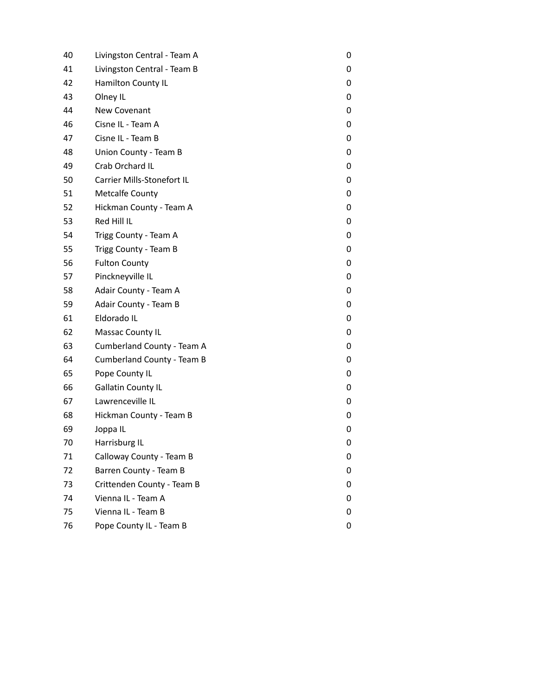| 40 | Livingston Central - Team A       | 0 |
|----|-----------------------------------|---|
| 41 | Livingston Central - Team B       | 0 |
| 42 | Hamilton County IL                | 0 |
| 43 | Olney IL                          | 0 |
| 44 | New Covenant                      | 0 |
| 46 | Cisne IL - Team A                 | 0 |
| 47 | Cisne IL - Team B                 | 0 |
| 48 | Union County - Team B             | 0 |
| 49 | Crab Orchard IL                   | 0 |
| 50 | Carrier Mills-Stonefort IL        | 0 |
| 51 | <b>Metcalfe County</b>            | 0 |
| 52 | Hickman County - Team A           | 0 |
| 53 | Red Hill IL                       | 0 |
| 54 | Trigg County - Team A             | 0 |
| 55 | Trigg County - Team B             | 0 |
| 56 | <b>Fulton County</b>              | 0 |
| 57 | Pinckneyville IL                  | 0 |
| 58 | Adair County - Team A             | 0 |
| 59 | Adair County - Team B             | 0 |
| 61 | Eldorado IL                       | 0 |
| 62 | Massac County IL                  | 0 |
| 63 | Cumberland County - Team A        | 0 |
| 64 | <b>Cumberland County - Team B</b> | 0 |
| 65 | Pope County IL                    | 0 |
| 66 | <b>Gallatin County IL</b>         | 0 |
| 67 | Lawrenceville IL                  | 0 |
| 68 | Hickman County - Team B           | 0 |
| 69 | Joppa IL                          | 0 |
| 70 | Harrisburg IL                     | 0 |
| 71 | Calloway County - Team B          | 0 |
| 72 | Barren County - Team B            | 0 |
| 73 | Crittenden County - Team B        | 0 |
| 74 | Vienna IL - Team A                | 0 |
| 75 | Vienna IL - Team B                | 0 |
| 76 | Pope County IL - Team B           | 0 |
|    |                                   |   |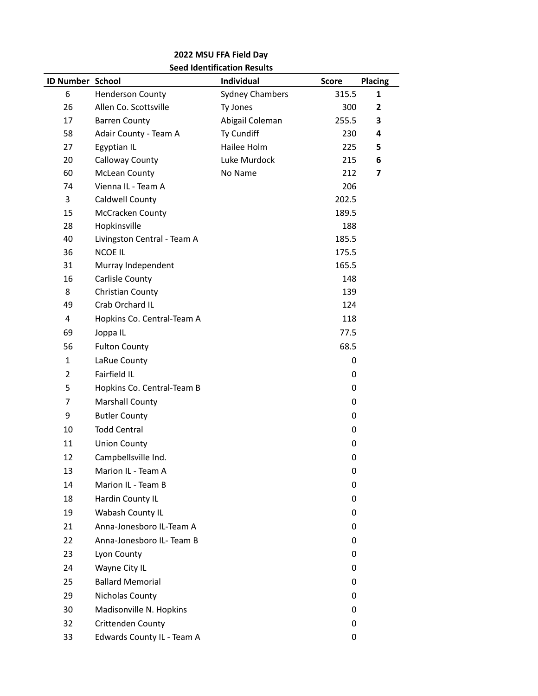## **2022 MSU FFA Field Day Seed Identification Results**

| ID Number School |                             | JEEN INEIKIIKALIUII KESUKS<br>Individual | <b>Score</b> | <b>Placing</b> |
|------------------|-----------------------------|------------------------------------------|--------------|----------------|
| 6                | <b>Henderson County</b>     | <b>Sydney Chambers</b>                   | 315.5        | 1              |
| 26               | Allen Co. Scottsville       | Ty Jones                                 | 300          | $\mathbf{2}$   |
| 17               | <b>Barren County</b>        | Abigail Coleman                          | 255.5        | 3              |
| 58               | Adair County - Team A       | Ty Cundiff                               | 230          | 4              |
| 27               | Egyptian IL                 | Hailee Holm                              | 225          | 5              |
| 20               | Calloway County             | Luke Murdock                             | 215          | 6              |
| 60               | <b>McLean County</b>        | No Name                                  | 212          | 7              |
| 74               | Vienna IL - Team A          |                                          | 206          |                |
| 3                | Caldwell County             |                                          | 202.5        |                |
| 15               | McCracken County            |                                          | 189.5        |                |
| 28               | Hopkinsville                |                                          | 188          |                |
| 40               | Livingston Central - Team A |                                          | 185.5        |                |
| 36               | <b>NCOE IL</b>              |                                          | 175.5        |                |
| 31               | Murray Independent          |                                          | 165.5        |                |
| 16               | Carlisle County             |                                          | 148          |                |
| 8                | Christian County            |                                          | 139          |                |
| 49               | Crab Orchard IL             |                                          | 124          |                |
| 4                | Hopkins Co. Central-Team A  |                                          | 118          |                |
| 69               | Joppa IL                    |                                          | 77.5         |                |
| 56               | <b>Fulton County</b>        |                                          | 68.5         |                |
| 1                | LaRue County                |                                          | 0            |                |
| $\overline{2}$   | Fairfield IL                |                                          | 0            |                |
| 5                | Hopkins Co. Central-Team B  |                                          | 0            |                |
| 7                | <b>Marshall County</b>      |                                          | 0            |                |
| 9                | <b>Butler County</b>        |                                          | 0            |                |
| 10               | <b>Todd Central</b>         |                                          | 0            |                |
| 11               | <b>Union County</b>         |                                          | 0            |                |
| 12               | Campbellsville Ind.         |                                          | 0            |                |
| 13               | Marion IL - Team A          |                                          | 0            |                |
| 14               | Marion IL - Team B          |                                          | 0            |                |
| 18               | Hardin County IL            |                                          | 0            |                |
| 19               | Wabash County IL            |                                          | 0            |                |
| 21               | Anna-Jonesboro IL-Team A    |                                          | 0            |                |
| 22               | Anna-Jonesboro IL- Team B   |                                          | 0            |                |
| 23               | Lyon County                 |                                          | 0            |                |
| 24               | Wayne City IL               |                                          | 0            |                |
| 25               | <b>Ballard Memorial</b>     |                                          | 0            |                |
| 29               | Nicholas County             |                                          | 0            |                |
| 30               | Madisonville N. Hopkins     |                                          | 0            |                |
| 32               | Crittenden County           |                                          | 0            |                |
| 33               | Edwards County IL - Team A  |                                          | 0            |                |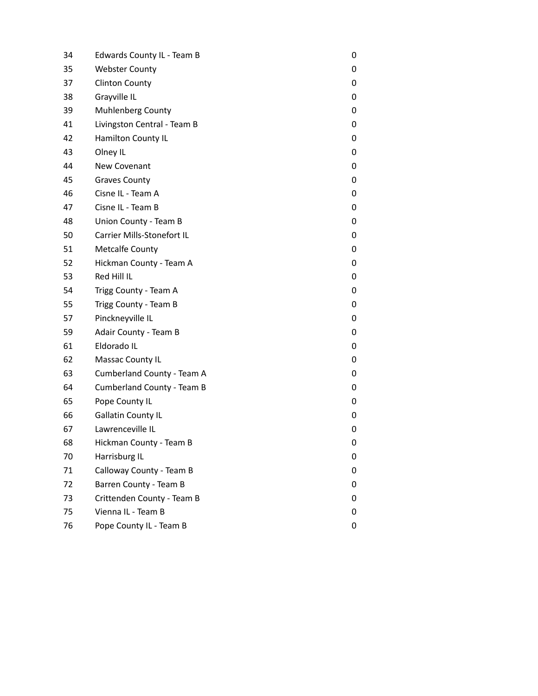| 34 | Edwards County IL - Team B  | 0 |
|----|-----------------------------|---|
| 35 | <b>Webster County</b>       | 0 |
| 37 | <b>Clinton County</b>       | 0 |
| 38 | Grayville IL                | 0 |
| 39 | <b>Muhlenberg County</b>    | 0 |
| 41 | Livingston Central - Team B | 0 |
| 42 | Hamilton County IL          | 0 |
| 43 | Olney IL                    | 0 |
| 44 | New Covenant                | 0 |
| 45 | <b>Graves County</b>        | 0 |
| 46 | Cisne IL - Team A           | 0 |
| 47 | Cisne IL - Team B           | 0 |
| 48 | Union County - Team B       | 0 |
| 50 | Carrier Mills-Stonefort IL  | 0 |
| 51 | <b>Metcalfe County</b>      | 0 |
| 52 | Hickman County - Team A     | 0 |
| 53 | Red Hill IL                 | 0 |
| 54 | Trigg County - Team A       | 0 |
| 55 | Trigg County - Team B       | 0 |
| 57 | Pinckneyville IL            | 0 |
| 59 | Adair County - Team B       | 0 |
| 61 | Eldorado IL                 | 0 |
| 62 | Massac County IL            | 0 |
| 63 | Cumberland County - Team A  | 0 |
| 64 | Cumberland County - Team B  | 0 |
| 65 | Pope County IL              | 0 |
| 66 | <b>Gallatin County IL</b>   | 0 |
| 67 | Lawrenceville IL            | 0 |
| 68 | Hickman County - Team B     | 0 |
| 70 | Harrisburg IL               | 0 |
| 71 | Calloway County - Team B    | 0 |
| 72 | Barren County - Team B      | 0 |
| 73 | Crittenden County - Team B  | 0 |
| 75 | Vienna IL - Team B          | 0 |
| 76 | Pope County IL - Team B     | 0 |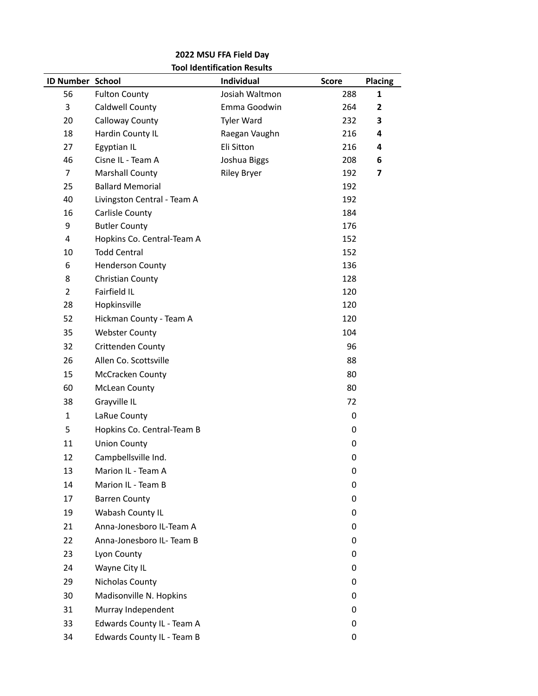## **2022 MSU FFA Field Day Tool Identification Results**

| ID Number School |                             | Individual         | <b>Score</b> | <b>Placing</b> |
|------------------|-----------------------------|--------------------|--------------|----------------|
| 56               | <b>Fulton County</b>        | Josiah Waltmon     | 288          | 1              |
| 3                | Caldwell County             | Emma Goodwin       | 264          | 2              |
| 20               | Calloway County             | <b>Tyler Ward</b>  | 232          | 3              |
| 18               | Hardin County IL            | Raegan Vaughn      | 216          | 4              |
| 27               | Egyptian IL                 | Eli Sitton         | 216          | 4              |
| 46               | Cisne IL - Team A           | Joshua Biggs       | 208          | 6              |
| 7                | Marshall County             | <b>Riley Bryer</b> | 192          | 7              |
| 25               | <b>Ballard Memorial</b>     |                    | 192          |                |
| 40               | Livingston Central - Team A |                    | 192          |                |
| 16               | Carlisle County             |                    | 184          |                |
| 9                | <b>Butler County</b>        |                    | 176          |                |
| 4                | Hopkins Co. Central-Team A  |                    | 152          |                |
| 10               | <b>Todd Central</b>         |                    | 152          |                |
| 6                | <b>Henderson County</b>     |                    | 136          |                |
| 8                | Christian County            |                    | 128          |                |
| $\overline{2}$   | Fairfield IL                |                    | 120          |                |
| 28               | Hopkinsville                |                    | 120          |                |
| 52               | Hickman County - Team A     |                    | 120          |                |
| 35               | <b>Webster County</b>       |                    | 104          |                |
| 32               | Crittenden County           |                    | 96           |                |
| 26               | Allen Co. Scottsville       |                    | 88           |                |
| 15               | McCracken County            |                    | 80           |                |
| 60               | <b>McLean County</b>        |                    | 80           |                |
| 38               | Grayville IL                |                    | 72           |                |
| $\mathbf{1}$     | LaRue County                |                    | 0            |                |
| 5                | Hopkins Co. Central-Team B  |                    | 0            |                |
| 11               | <b>Union County</b>         |                    | 0            |                |
| 12               | Campbellsville Ind.         |                    | 0            |                |
| 13               | Marion IL - Team A          |                    | 0            |                |
| 14               | Marion IL - Team B          |                    | 0            |                |
| 17               | <b>Barren County</b>        |                    | 0            |                |
| 19               | Wabash County IL            |                    | 0            |                |
| 21               | Anna-Jonesboro IL-Team A    |                    | 0            |                |
| 22               | Anna-Jonesboro IL- Team B   |                    | 0            |                |
| 23               | Lyon County                 |                    | 0            |                |
| 24               | Wayne City IL               |                    | 0            |                |
| 29               | Nicholas County             |                    | 0            |                |
| 30               | Madisonville N. Hopkins     |                    | 0            |                |
| 31               | Murray Independent          |                    | 0            |                |
| 33               | Edwards County IL - Team A  |                    | 0            |                |
| 34               | Edwards County IL - Team B  |                    | 0            |                |
|                  |                             |                    |              |                |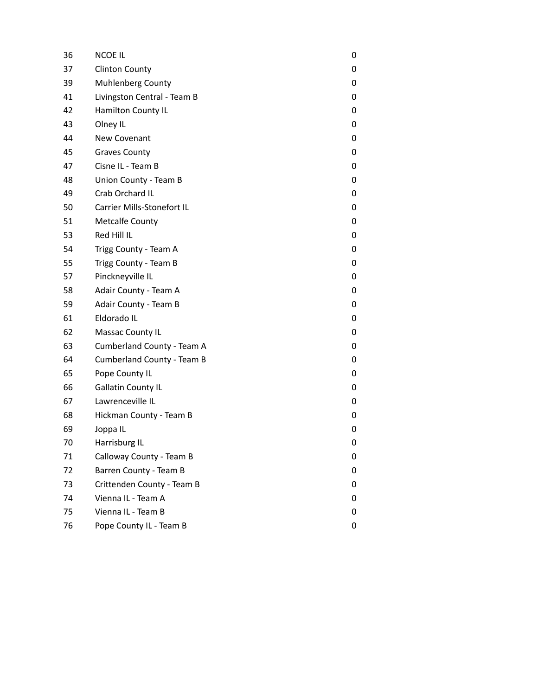| 36 | <b>NCOE IL</b>              | 0 |
|----|-----------------------------|---|
| 37 | <b>Clinton County</b>       | 0 |
| 39 | Muhlenberg County           | 0 |
| 41 | Livingston Central - Team B | 0 |
| 42 | Hamilton County IL          | 0 |
| 43 | Olney IL                    | 0 |
| 44 | New Covenant                | 0 |
| 45 | <b>Graves County</b>        | 0 |
| 47 | Cisne IL - Team B           | 0 |
| 48 | Union County - Team B       | 0 |
| 49 | Crab Orchard IL             | 0 |
| 50 | Carrier Mills-Stonefort IL  | 0 |
| 51 | <b>Metcalfe County</b>      | 0 |
| 53 | Red Hill IL                 | 0 |
| 54 | Trigg County - Team A       | 0 |
| 55 | Trigg County - Team B       | 0 |
| 57 | Pinckneyville IL            | 0 |
| 58 | Adair County - Team A       | 0 |
| 59 | Adair County - Team B       | 0 |
| 61 | Eldorado IL                 | 0 |
| 62 | Massac County IL            | 0 |
| 63 | Cumberland County - Team A  | 0 |
| 64 | Cumberland County - Team B  | 0 |
| 65 | Pope County IL              | 0 |
| 66 | <b>Gallatin County IL</b>   | 0 |
| 67 | Lawrenceville IL            | 0 |
| 68 | Hickman County - Team B     | 0 |
| 69 | Joppa IL                    | 0 |
| 70 | Harrisburg IL               | 0 |
| 71 | Calloway County - Team B    | 0 |
| 72 | Barren County - Team B      | 0 |
| 73 | Crittenden County - Team B  | 0 |
| 74 | Vienna IL - Team A          | 0 |
| 75 | Vienna IL - Team B          | 0 |
| 76 | Pope County IL - Team B     | 0 |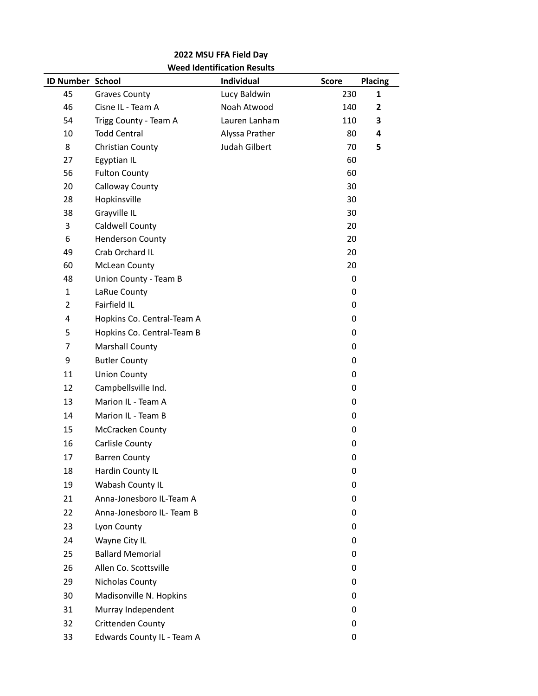## **2022 MSU FFA Field Day Weed Identification Results**

| Individual<br>ID Number School<br><b>Score</b><br><b>Placing</b><br>45<br>Lucy Baldwin<br>230<br><b>Graves County</b><br>Noah Atwood<br>46<br>Cisne IL - Team A<br>140 | 1<br>$\mathbf{2}$ |
|------------------------------------------------------------------------------------------------------------------------------------------------------------------------|-------------------|
|                                                                                                                                                                        |                   |
|                                                                                                                                                                        |                   |
| Lauren Lanham<br>54<br>110<br>Trigg County - Team A                                                                                                                    | 3                 |
| 10<br><b>Todd Central</b><br>Alyssa Prather<br>80                                                                                                                      | 4                 |
| 8<br>Judah Gilbert<br>Christian County<br>70                                                                                                                           | 5                 |
| 27<br>Egyptian IL<br>60                                                                                                                                                |                   |
| 56<br>60<br><b>Fulton County</b>                                                                                                                                       |                   |
| 20<br>Calloway County<br>30                                                                                                                                            |                   |
| 28<br>Hopkinsville<br>30                                                                                                                                               |                   |
| Grayville IL<br>38<br>30                                                                                                                                               |                   |
| 3<br>Caldwell County<br>20                                                                                                                                             |                   |
| 6<br><b>Henderson County</b><br>20                                                                                                                                     |                   |
| Crab Orchard IL<br>49<br>20                                                                                                                                            |                   |
| 60<br>20<br><b>McLean County</b>                                                                                                                                       |                   |
| 48<br>Union County - Team B<br>0                                                                                                                                       |                   |
| $\mathbf{1}$<br>LaRue County<br>0                                                                                                                                      |                   |
| $\overline{2}$<br>Fairfield IL<br>0                                                                                                                                    |                   |
| Hopkins Co. Central-Team A<br>4<br>0                                                                                                                                   |                   |
| 5<br>Hopkins Co. Central-Team B<br>0                                                                                                                                   |                   |
| 7<br>Marshall County<br>0                                                                                                                                              |                   |
| 9<br><b>Butler County</b><br>0                                                                                                                                         |                   |
| 11<br><b>Union County</b><br>0                                                                                                                                         |                   |
| Campbellsville Ind.<br>12<br>0                                                                                                                                         |                   |
| 13<br>Marion IL - Team A<br>0                                                                                                                                          |                   |
| 14<br>Marion IL - Team B<br>0                                                                                                                                          |                   |
| McCracken County<br>15<br>0                                                                                                                                            |                   |
| 16<br>Carlisle County<br>0                                                                                                                                             |                   |
| 17<br><b>Barren County</b><br>0                                                                                                                                        |                   |
| 18<br>Hardin County IL<br>0                                                                                                                                            |                   |
| Wabash County IL<br>19<br>0                                                                                                                                            |                   |
| Anna-Jonesboro IL-Team A<br>21<br>0                                                                                                                                    |                   |
| 22<br>Anna-Jonesboro IL- Team B<br>0                                                                                                                                   |                   |
| 23<br>Lyon County<br>0                                                                                                                                                 |                   |
| Wayne City IL<br>24<br>0                                                                                                                                               |                   |
| <b>Ballard Memorial</b><br>25<br>0                                                                                                                                     |                   |
| Allen Co. Scottsville<br>26<br>0                                                                                                                                       |                   |
| 29<br>Nicholas County<br>0                                                                                                                                             |                   |
| 30<br>Madisonville N. Hopkins<br>0                                                                                                                                     |                   |
| 31<br>Murray Independent<br>0                                                                                                                                          |                   |
| Crittenden County<br>32<br>0                                                                                                                                           |                   |
| Edwards County IL - Team A<br>33<br>0                                                                                                                                  |                   |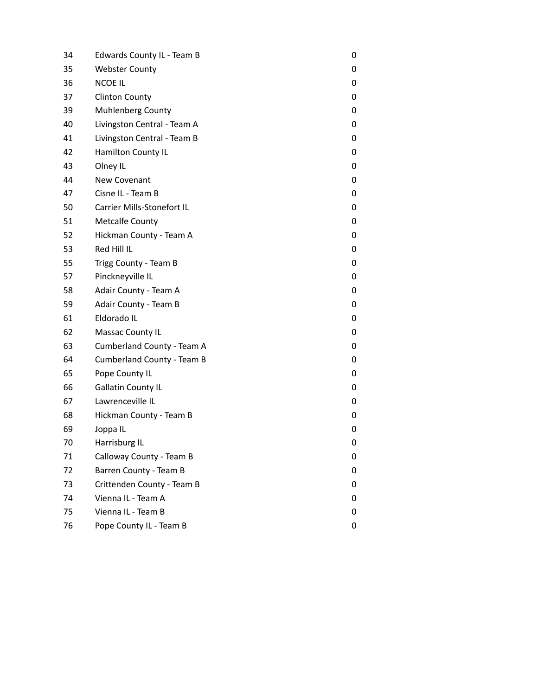| 34 | Edwards County IL - Team B  | 0 |
|----|-----------------------------|---|
| 35 | <b>Webster County</b>       | 0 |
| 36 | <b>NCOE IL</b>              | 0 |
| 37 | <b>Clinton County</b>       | 0 |
| 39 | <b>Muhlenberg County</b>    | 0 |
| 40 | Livingston Central - Team A | 0 |
| 41 | Livingston Central - Team B | 0 |
| 42 | Hamilton County IL          | 0 |
| 43 | Olney IL                    | 0 |
| 44 | New Covenant                | 0 |
| 47 | Cisne IL - Team B           | 0 |
| 50 | Carrier Mills-Stonefort IL  | 0 |
| 51 | <b>Metcalfe County</b>      | 0 |
| 52 | Hickman County - Team A     | 0 |
| 53 | Red Hill IL                 | 0 |
| 55 | Trigg County - Team B       | 0 |
| 57 | Pinckneyville IL            | 0 |
| 58 | Adair County - Team A       | 0 |
| 59 | Adair County - Team B       | 0 |
| 61 | Eldorado IL                 | 0 |
| 62 | Massac County IL            | 0 |
| 63 | Cumberland County - Team A  | 0 |
| 64 | Cumberland County - Team B  | 0 |
| 65 | Pope County IL              | 0 |
| 66 | <b>Gallatin County IL</b>   | 0 |
| 67 | Lawrenceville IL            | 0 |
| 68 | Hickman County - Team B     | 0 |
| 69 | Joppa IL                    | 0 |
| 70 | Harrisburg IL               | 0 |
| 71 | Calloway County - Team B    | 0 |
| 72 | Barren County - Team B      | 0 |
| 73 | Crittenden County - Team B  | 0 |
| 74 | Vienna IL - Team A          | 0 |
| 75 | Vienna IL - Team B          | 0 |
| 76 | Pope County IL - Team B     | 0 |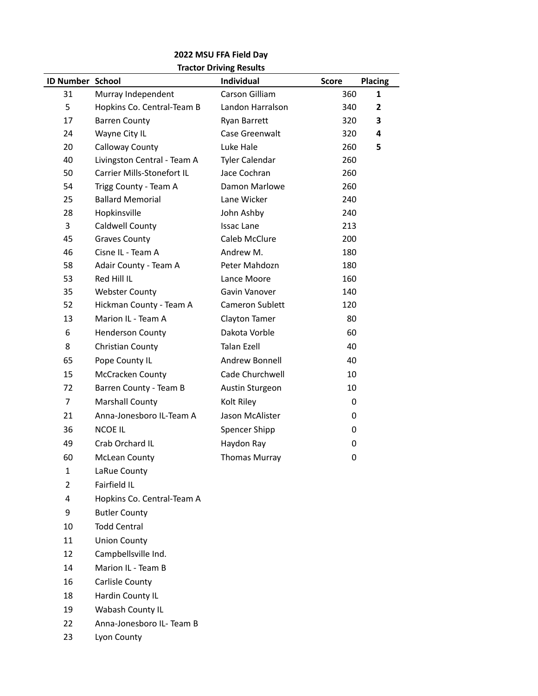## **2022 MSU FFA Field Day Tractor Driving Results**

| <b>ID Number School</b> |                             | <b>Hactor Driving Results</b><br><b>Individual</b> | <b>Score</b> | <b>Placing</b> |
|-------------------------|-----------------------------|----------------------------------------------------|--------------|----------------|
| 31                      | Murray Independent          | Carson Gilliam                                     | 360          | 1              |
| 5                       | Hopkins Co. Central-Team B  | Landon Harralson                                   | 340          | $\overline{2}$ |
| 17                      | <b>Barren County</b>        | Ryan Barrett                                       | 320          | 3              |
| 24                      | Wayne City IL               | Case Greenwalt                                     | 320          | 4              |
| 20                      | Calloway County             | Luke Hale                                          | 260          | 5              |
| 40                      | Livingston Central - Team A | <b>Tyler Calendar</b>                              | 260          |                |
| 50                      | Carrier Mills-Stonefort IL  | Jace Cochran                                       | 260          |                |
| 54                      | Trigg County - Team A       | Damon Marlowe                                      | 260          |                |
| 25                      | <b>Ballard Memorial</b>     | Lane Wicker                                        | 240          |                |
| 28                      | Hopkinsville                | John Ashby                                         | 240          |                |
| 3                       | Caldwell County             | <b>Issac Lane</b>                                  | 213          |                |
| 45                      | <b>Graves County</b>        | Caleb McClure                                      | 200          |                |
| 46                      | Cisne IL - Team A           | Andrew M.                                          | 180          |                |
| 58                      | Adair County - Team A       | Peter Mahdozn                                      | 180          |                |
| 53                      | Red Hill IL                 | Lance Moore                                        | 160          |                |
| 35                      | <b>Webster County</b>       | Gavin Vanover                                      | 140          |                |
| 52                      | Hickman County - Team A     | Cameron Sublett                                    | 120          |                |
| 13                      | Marion IL - Team A          | Clayton Tamer                                      | 80           |                |
| 6                       | <b>Henderson County</b>     | Dakota Vorble                                      | 60           |                |
| 8                       | Christian County            | <b>Talan Ezell</b>                                 | 40           |                |
| 65                      | Pope County IL              | Andrew Bonnell                                     | 40           |                |
| 15                      | McCracken County            | Cade Churchwell                                    | 10           |                |
| 72                      | Barren County - Team B      | Austin Sturgeon                                    | 10           |                |
| $\overline{7}$          | Marshall County             | Kolt Riley                                         | 0            |                |
| 21                      | Anna-Jonesboro IL-Team A    | Jason McAlister                                    | 0            |                |
| 36                      | <b>NCOE IL</b>              | Spencer Shipp                                      | 0            |                |
| 49                      | Crab Orchard IL             | Haydon Ray                                         | 0            |                |
| 60                      | <b>McLean County</b>        | <b>Thomas Murray</b>                               | 0            |                |
| 1                       | LaRue County                |                                                    |              |                |
| $\overline{2}$          | Fairfield IL                |                                                    |              |                |
| 4                       | Hopkins Co. Central-Team A  |                                                    |              |                |
| 9                       | <b>Butler County</b>        |                                                    |              |                |
| 10                      | <b>Todd Central</b>         |                                                    |              |                |
| 11                      | <b>Union County</b>         |                                                    |              |                |
| 12                      | Campbellsville Ind.         |                                                    |              |                |
| 14                      | Marion IL - Team B          |                                                    |              |                |
| 16                      | Carlisle County             |                                                    |              |                |
| 18                      | Hardin County IL            |                                                    |              |                |
| 19                      | Wabash County IL            |                                                    |              |                |
| 22                      | Anna-Jonesboro IL- Team B   |                                                    |              |                |

Lyon County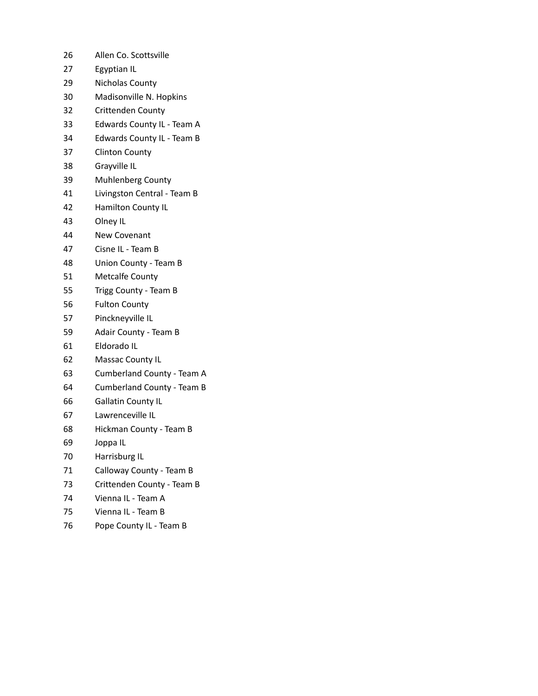- Allen Co. Scottsville
- Egyptian IL
- Nicholas County
- Madisonville N. Hopkins
- Crittenden County
- Edwards County IL Team A
- Edwards County IL Team B
- Clinton County
- Grayville IL
- Muhlenberg County
- Livingston Central Team B
- Hamilton County IL
- Olney IL
- New Covenant
- Cisne IL Team B
- Union County Team B
- Metcalfe County
- Trigg County Team B
- Fulton County
- Pinckneyville IL
- Adair County Team B
- Eldorado IL
- Massac County IL
- Cumberland County Team A
- Cumberland County Team B
- Gallatin County IL
- Lawrenceville IL
- Hickman County Team B
- Joppa IL
- Harrisburg IL
- Calloway County Team B
- Crittenden County Team B
- Vienna IL Team A
- Vienna IL Team B
- 76 Pope County IL Team B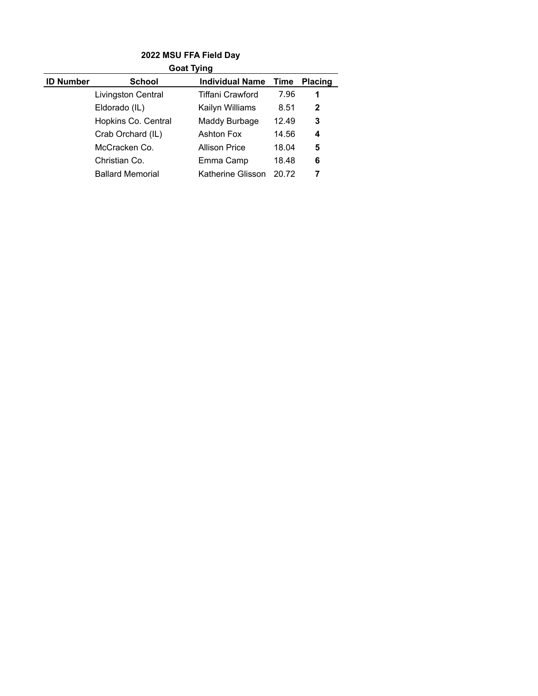| <b>Goat Tying</b> |                         |                        |       |                |  |
|-------------------|-------------------------|------------------------|-------|----------------|--|
| <b>ID Number</b>  | <b>School</b>           | <b>Individual Name</b> | Time  | <b>Placing</b> |  |
|                   | Livingston Central      | Tiffani Crawford       | 7.96  | 1              |  |
|                   | Eldorado (IL)           | Kailyn Williams        | 8.51  | $\mathbf{2}$   |  |
|                   | Hopkins Co. Central     | Maddy Burbage          | 12.49 | 3              |  |
|                   | Crab Orchard (IL)       | <b>Ashton Fox</b>      | 14.56 | 4              |  |
|                   | McCracken Co.           | <b>Allison Price</b>   | 18.04 | 5              |  |
|                   | Christian Co.           | Emma Camp              | 18.48 | 6              |  |
|                   | <b>Ballard Memorial</b> | Katherine Glisson      | 20.72 | 7              |  |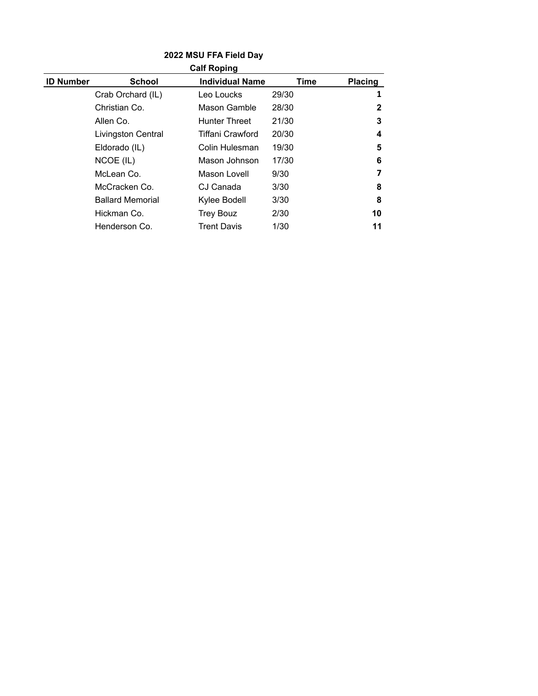| <b>Calf Roping</b> |                         |                        |       |                |
|--------------------|-------------------------|------------------------|-------|----------------|
| <b>ID Number</b>   | School                  | <b>Individual Name</b> | Time  | <b>Placing</b> |
|                    | Crab Orchard (IL)       | Leo Loucks             | 29/30 | 1              |
|                    | Christian Co.           | Mason Gamble           | 28/30 | $\mathbf{2}$   |
|                    | Allen Co.               | <b>Hunter Threet</b>   | 21/30 | 3              |
|                    | Livingston Central      | Tiffani Crawford       | 20/30 | 4              |
|                    | Eldorado (IL)           | Colin Hulesman         | 19/30 | 5              |
|                    | NCOE (IL)               | Mason Johnson          | 17/30 | 6              |
|                    | McLean Co.              | Mason Lovell           | 9/30  | 7              |
|                    | McCracken Co.           | CJ Canada              | 3/30  | 8              |
|                    | <b>Ballard Memorial</b> | Kylee Bodell           | 3/30  | 8              |
|                    | Hickman Co.             | <b>Trey Bouz</b>       | 2/30  | 10             |
|                    | Henderson Co.           | <b>Trent Davis</b>     | 1/30  | 11             |